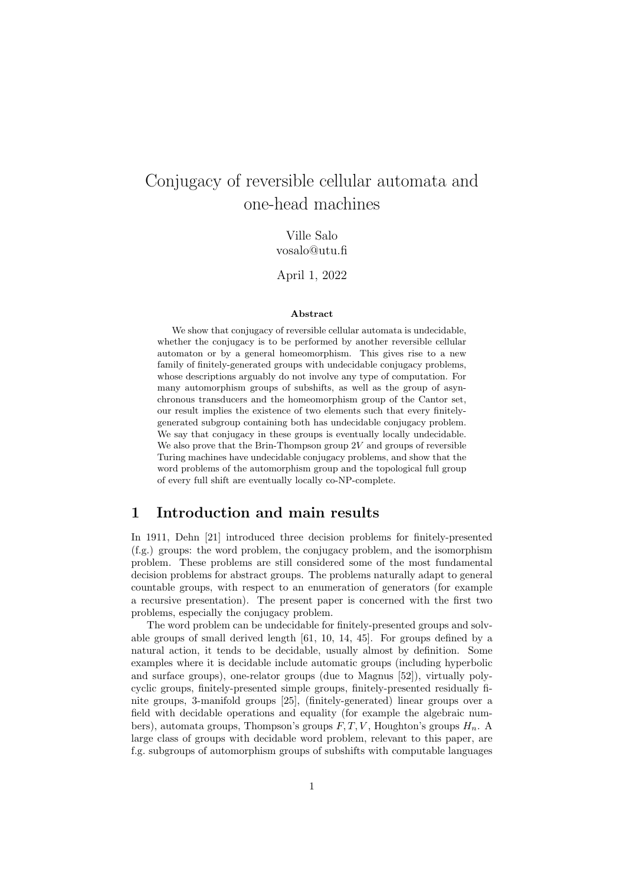# Conjugacy of reversible cellular automata and one-head machines

Ville Salo vosalo@utu.fi

April 1, 2022

#### Abstract

We show that conjugacy of reversible cellular automata is undecidable, whether the conjugacy is to be performed by another reversible cellular automaton or by a general homeomorphism. This gives rise to a new family of finitely-generated groups with undecidable conjugacy problems, whose descriptions arguably do not involve any type of computation. For many automorphism groups of subshifts, as well as the group of asynchronous transducers and the homeomorphism group of the Cantor set, our result implies the existence of two elements such that every finitelygenerated subgroup containing both has undecidable conjugacy problem. We say that conjugacy in these groups is eventually locally undecidable. We also prove that the Brin-Thompson group  $2V$  and groups of reversible Turing machines have undecidable conjugacy problems, and show that the word problems of the automorphism group and the topological full group of every full shift are eventually locally co-NP-complete.

## 1 Introduction and main results

In 1911, Dehn [21] introduced three decision problems for finitely-presented (f.g.) groups: the word problem, the conjugacy problem, and the isomorphism problem. These problems are still considered some of the most fundamental decision problems for abstract groups. The problems naturally adapt to general countable groups, with respect to an enumeration of generators (for example a recursive presentation). The present paper is concerned with the first two problems, especially the conjugacy problem.

The word problem can be undecidable for finitely-presented groups and solvable groups of small derived length [61, 10, 14, 45]. For groups defined by a natural action, it tends to be decidable, usually almost by definition. Some examples where it is decidable include automatic groups (including hyperbolic and surface groups), one-relator groups (due to Magnus [52]), virtually polycyclic groups, finitely-presented simple groups, finitely-presented residually finite groups, 3-manifold groups [25], (finitely-generated) linear groups over a field with decidable operations and equality (for example the algebraic numbers), automata groups, Thompson's groups  $F, T, V$ , Houghton's groups  $H_n$ . A large class of groups with decidable word problem, relevant to this paper, are f.g. subgroups of automorphism groups of subshifts with computable languages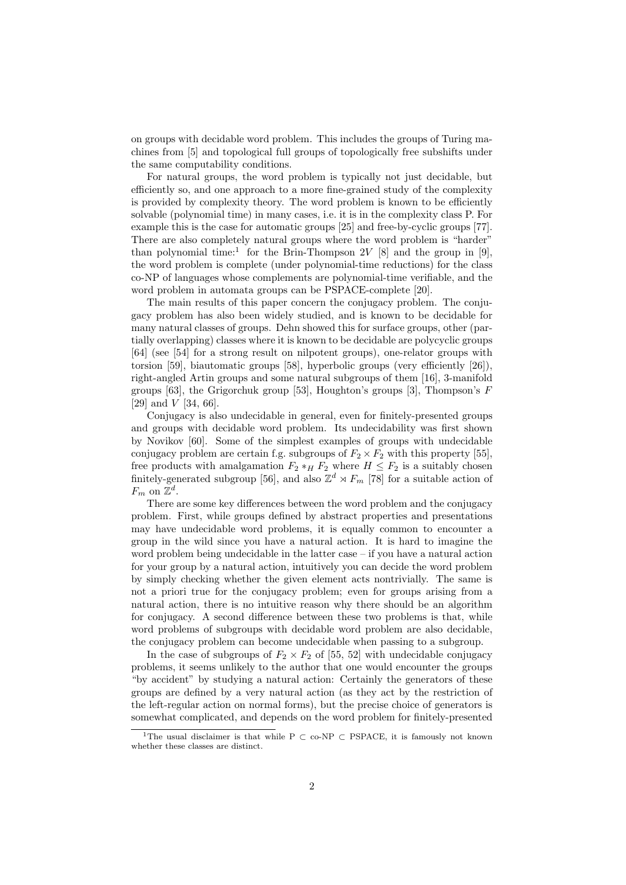on groups with decidable word problem. This includes the groups of Turing machines from [5] and topological full groups of topologically free subshifts under the same computability conditions.

For natural groups, the word problem is typically not just decidable, but efficiently so, and one approach to a more fine-grained study of the complexity is provided by complexity theory. The word problem is known to be efficiently solvable (polynomial time) in many cases, i.e. it is in the complexity class P. For example this is the case for automatic groups [25] and free-by-cyclic groups [77]. There are also completely natural groups where the word problem is "harder" than polynomial time:<sup>1</sup> for the Brin-Thompson 2V [8] and the group in [9], the word problem is complete (under polynomial-time reductions) for the class co-NP of languages whose complements are polynomial-time verifiable, and the word problem in automata groups can be PSPACE-complete [20].

The main results of this paper concern the conjugacy problem. The conjugacy problem has also been widely studied, and is known to be decidable for many natural classes of groups. Dehn showed this for surface groups, other (partially overlapping) classes where it is known to be decidable are polycyclic groups [64] (see [54] for a strong result on nilpotent groups), one-relator groups with torsion [59], biautomatic groups [58], hyperbolic groups (very efficiently [26]), right-angled Artin groups and some natural subgroups of them [16], 3-manifold groups [63], the Grigorchuk group [53], Houghton's groups [3], Thompson's  $F$ [29] and  $V$  [34, 66].

Conjugacy is also undecidable in general, even for finitely-presented groups and groups with decidable word problem. Its undecidability was first shown by Novikov [60]. Some of the simplest examples of groups with undecidable conjugacy problem are certain f.g. subgroups of  $F_2 \times F_2$  with this property [55], free products with amalgamation  $F_2 *_{H} F_2$  where  $H \leq F_2$  is a suitably chosen finitely-generated subgroup [56], and also  $\mathbb{Z}^d \rtimes F_m$  [78] for a suitable action of  $F_m$  on  $\mathbb{Z}^d$ .

There are some key differences between the word problem and the conjugacy problem. First, while groups defined by abstract properties and presentations may have undecidable word problems, it is equally common to encounter a group in the wild since you have a natural action. It is hard to imagine the word problem being undecidable in the latter case – if you have a natural action for your group by a natural action, intuitively you can decide the word problem by simply checking whether the given element acts nontrivially. The same is not a priori true for the conjugacy problem; even for groups arising from a natural action, there is no intuitive reason why there should be an algorithm for conjugacy. A second difference between these two problems is that, while word problems of subgroups with decidable word problem are also decidable, the conjugacy problem can become undecidable when passing to a subgroup.

In the case of subgroups of  $F_2 \times F_2$  of [55, 52] with undecidable conjugacy problems, it seems unlikely to the author that one would encounter the groups "by accident" by studying a natural action: Certainly the generators of these groups are defined by a very natural action (as they act by the restriction of the left-regular action on normal forms), but the precise choice of generators is somewhat complicated, and depends on the word problem for finitely-presented

<sup>&</sup>lt;sup>1</sup>The usual disclaimer is that while P  $\subset$  co-NP  $\subset$  PSPACE, it is famously not known whether these classes are distinct.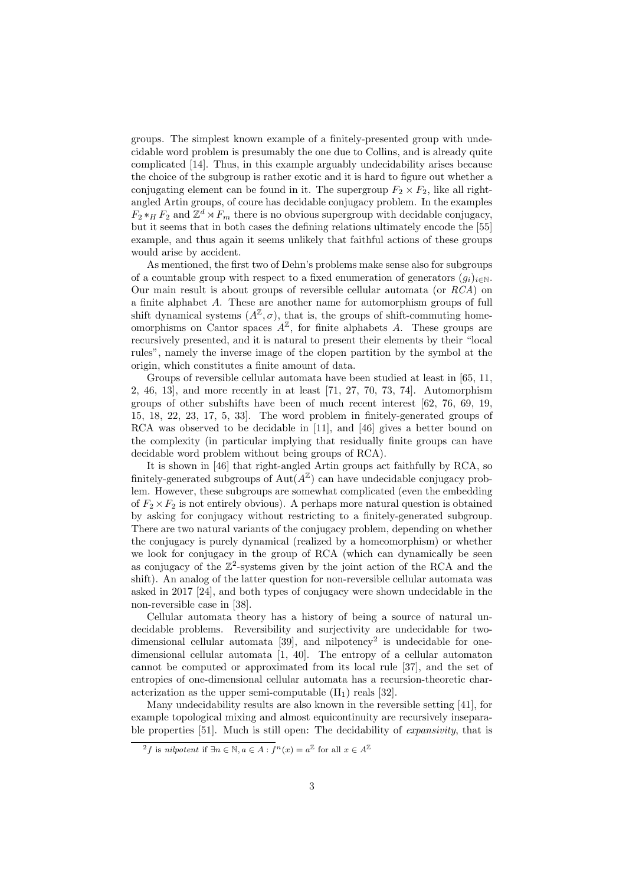groups. The simplest known example of a finitely-presented group with undecidable word problem is presumably the one due to Collins, and is already quite complicated [14]. Thus, in this example arguably undecidability arises because the choice of the subgroup is rather exotic and it is hard to figure out whether a conjugating element can be found in it. The supergroup  $F_2 \times F_2$ , like all rightangled Artin groups, of coure has decidable conjugacy problem. In the examples  $F_2 *_{H} F_2$  and  $\mathbb{Z}^d \rtimes F_m$  there is no obvious supergroup with decidable conjugacy, but it seems that in both cases the defining relations ultimately encode the [55] example, and thus again it seems unlikely that faithful actions of these groups would arise by accident.

As mentioned, the first two of Dehn's problems make sense also for subgroups of a countable group with respect to a fixed enumeration of generators  $(g_i)_{i\in\mathbb{N}}$ . Our main result is about groups of reversible cellular automata (or RCA) on a finite alphabet A. These are another name for automorphism groups of full shift dynamical systems  $(A^{\mathbb{Z}}, \sigma)$ , that is, the groups of shift-commuting homeomorphisms on Cantor spaces  $A^{\mathbb{Z}}$ , for finite alphabets A. These groups are recursively presented, and it is natural to present their elements by their "local rules", namely the inverse image of the clopen partition by the symbol at the origin, which constitutes a finite amount of data.

Groups of reversible cellular automata have been studied at least in [65, 11, 2, 46, 13], and more recently in at least [71, 27, 70, 73, 74]. Automorphism groups of other subshifts have been of much recent interest [62, 76, 69, 19, 15, 18, 22, 23, 17, 5, 33]. The word problem in finitely-generated groups of RCA was observed to be decidable in [11], and [46] gives a better bound on the complexity (in particular implying that residually finite groups can have decidable word problem without being groups of RCA).

It is shown in [46] that right-angled Artin groups act faithfully by RCA, so finitely-generated subgroups of  $\text{Aut}(A^{\mathbb{Z}})$  can have undecidable conjugacy problem. However, these subgroups are somewhat complicated (even the embedding of  $F_2 \times F_2$  is not entirely obvious). A perhaps more natural question is obtained by asking for conjugacy without restricting to a finitely-generated subgroup. There are two natural variants of the conjugacy problem, depending on whether the conjugacy is purely dynamical (realized by a homeomorphism) or whether we look for conjugacy in the group of RCA (which can dynamically be seen as conjugacy of the  $\mathbb{Z}^2$ -systems given by the joint action of the RCA and the shift). An analog of the latter question for non-reversible cellular automata was asked in 2017 [24], and both types of conjugacy were shown undecidable in the non-reversible case in [38].

Cellular automata theory has a history of being a source of natural undecidable problems. Reversibility and surjectivity are undecidable for twodimensional cellular automata  $[39]$ , and nilpotency<sup>2</sup> is undecidable for onedimensional cellular automata [1, 40]. The entropy of a cellular automaton cannot be computed or approximated from its local rule [37], and the set of entropies of one-dimensional cellular automata has a recursion-theoretic characterization as the upper semi-computable  $(\Pi_1)$  reals [32].

Many undecidability results are also known in the reversible setting [41], for example topological mixing and almost equicontinuity are recursively inseparable properties [51]. Much is still open: The decidability of expansivity, that is

<sup>&</sup>lt;sup>2</sup>f is *nilpotent* if  $\exists n \in \mathbb{N}, a \in A : f^n(x) = a^{\mathbb{Z}}$  for all  $x \in A^{\mathbb{Z}}$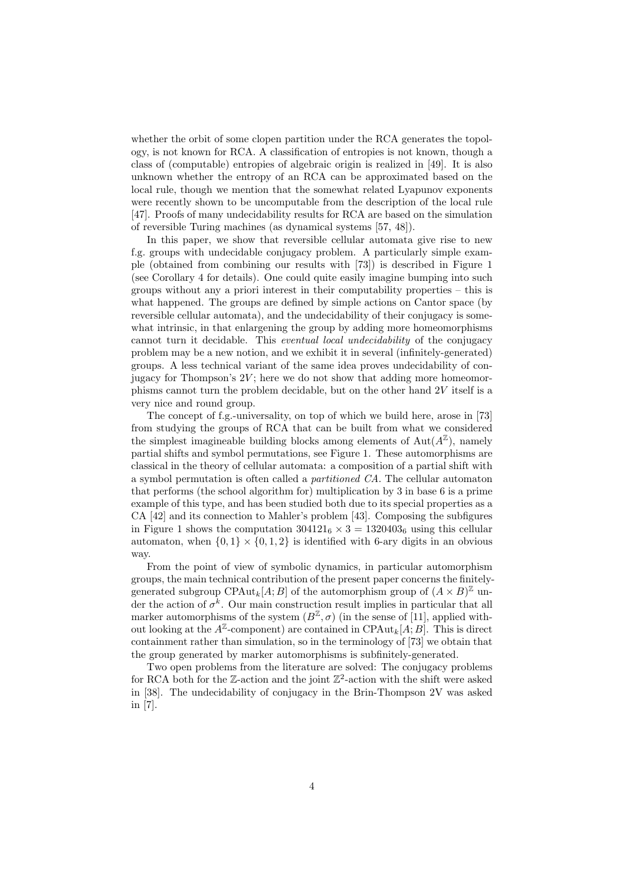whether the orbit of some clopen partition under the RCA generates the topology, is not known for RCA. A classification of entropies is not known, though a class of (computable) entropies of algebraic origin is realized in [49]. It is also unknown whether the entropy of an RCA can be approximated based on the local rule, though we mention that the somewhat related Lyapunov exponents were recently shown to be uncomputable from the description of the local rule [47]. Proofs of many undecidability results for RCA are based on the simulation of reversible Turing machines (as dynamical systems [57, 48]).

In this paper, we show that reversible cellular automata give rise to new f.g. groups with undecidable conjugacy problem. A particularly simple example (obtained from combining our results with [73]) is described in Figure 1 (see Corollary 4 for details). One could quite easily imagine bumping into such groups without any a priori interest in their computability properties – this is what happened. The groups are defined by simple actions on Cantor space (by reversible cellular automata), and the undecidability of their conjugacy is somewhat intrinsic, in that enlargening the group by adding more homeomorphisms cannot turn it decidable. This eventual local undecidability of the conjugacy problem may be a new notion, and we exhibit it in several (infinitely-generated) groups. A less technical variant of the same idea proves undecidability of conjugacy for Thompson's  $2V$ ; here we do not show that adding more homeomorphisms cannot turn the problem decidable, but on the other hand 2V itself is a very nice and round group.

The concept of f.g.-universality, on top of which we build here, arose in [73] from studying the groups of RCA that can be built from what we considered the simplest imagineable building blocks among elements of  $\text{Aut}(A^{\mathbb{Z}})$ , namely partial shifts and symbol permutations, see Figure 1. These automorphisms are classical in the theory of cellular automata: a composition of a partial shift with a symbol permutation is often called a partitioned CA. The cellular automaton that performs (the school algorithm for) multiplication by 3 in base 6 is a prime example of this type, and has been studied both due to its special properties as a CA [42] and its connection to Mahler's problem [43]. Composing the subfigures in Figure 1 shows the computation  $304121_6 \times 3 = 1320403_6$  using this cellular automaton, when  $\{0, 1\} \times \{0, 1, 2\}$  is identified with 6-ary digits in an obvious way.

From the point of view of symbolic dynamics, in particular automorphism groups, the main technical contribution of the present paper concerns the finitelygenerated subgroup CPAut<sub>k</sub>[A; B] of the automorphism group of  $(A \times B)^{\mathbb{Z}}$  under the action of  $\sigma^k$ . Our main construction result implies in particular that all marker automorphisms of the system  $(B^{\mathbb{Z}}, \sigma)$  (in the sense of [11], applied without looking at the  $A^{\mathbb{Z}}$ -component) are contained in CPAut<sub>k</sub>[A; B]. This is direct containment rather than simulation, so in the terminology of [73] we obtain that the group generated by marker automorphisms is subfinitely-generated.

Two open problems from the literature are solved: The conjugacy problems for RCA both for the  $\mathbb{Z}$ -action and the joint  $\mathbb{Z}^2$ -action with the shift were asked in [38]. The undecidability of conjugacy in the Brin-Thompson 2V was asked in [7].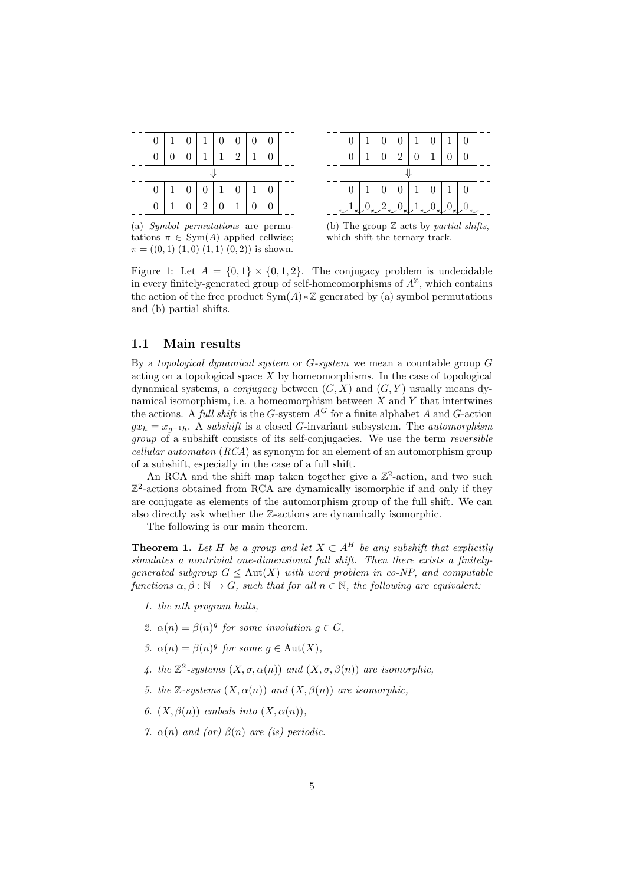

(a) Symbol permutations are permutations  $\pi \in \text{Sym}(A)$  applied cellwise;  $\pi = ((0,1) (1,0) (1,1) (0,2))$  is shown.



(b) The group  $\mathbb Z$  acts by partial shifts. which shift the ternary track.

Figure 1: Let  $A = \{0, 1\} \times \{0, 1, 2\}$ . The conjugacy problem is undecidable in every finitely-generated group of self-homeomorphisms of  $A^{\mathbb{Z}}$ , which contains the action of the free product  $Sym(A) * \mathbb{Z}$  generated by (a) symbol permutations and (b) partial shifts.

### 1.1 Main results

By a topological dynamical system or  $G$ -system we mean a countable group  $G$ acting on a topological space  $X$  by homeomorphisms. In the case of topological dynamical systems, a *conjugacy* between  $(G, X)$  and  $(G, Y)$  usually means dynamical isomorphism, i.e. a homeomorphism between  $X$  and  $Y$  that intertwines the actions. A full shift is the G-system  $A^G$  for a finite alphabet A and G-action  $gx_h = x_{g^{-1}h}$ . A subshift is a closed G-invariant subsystem. The *automorphism* group of a subshift consists of its self-conjugacies. We use the term reversible cellular automaton (RCA) as synonym for an element of an automorphism group of a subshift, especially in the case of a full shift.

An RCA and the shift map taken together give a  $\mathbb{Z}^2$ -action, and two such Z 2 -actions obtained from RCA are dynamically isomorphic if and only if they are conjugate as elements of the automorphism group of the full shift. We can also directly ask whether the Z-actions are dynamically isomorphic.

The following is our main theorem.

**Theorem 1.** Let H be a group and let  $X \subset A^H$  be any subshift that explicitly simulates a nontrivial one-dimensional full shift. Then there exists a finitelygenerated subgroup  $G \leq \text{Aut}(X)$  with word problem in co-NP, and computable functions  $\alpha, \beta : \mathbb{N} \to G$ , such that for all  $n \in \mathbb{N}$ , the following are equivalent:

- 1. the nth program halts,
- 2.  $\alpha(n) = \beta(n)^g$  for some involution  $g \in G$ ,
- 3.  $\alpha(n) = \beta(n)^g$  for some  $g \in \text{Aut}(X)$ ,
- 4. the  $\mathbb{Z}^2$ -systems  $(X, \sigma, \alpha(n))$  and  $(X, \sigma, \beta(n))$  are isomorphic,
- 5. the Z-systems  $(X, \alpha(n))$  and  $(X, \beta(n))$  are isomorphic,
- 6.  $(X, \beta(n))$  embeds into  $(X, \alpha(n))$ ,
- 7.  $\alpha(n)$  and (or)  $\beta(n)$  are (is) periodic.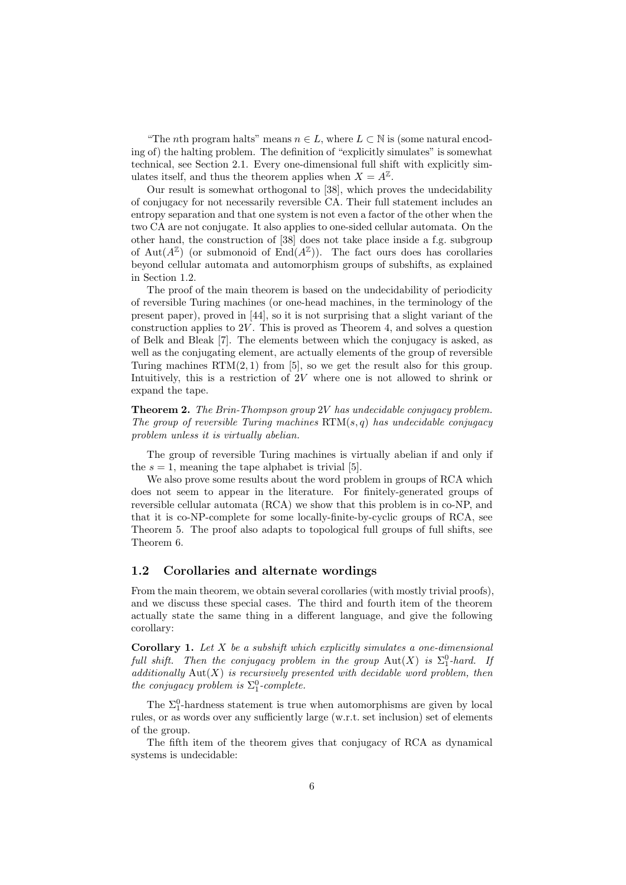"The *n*th program halts" means  $n \in L$ , where  $L \subset \mathbb{N}$  is (some natural encoding of) the halting problem. The definition of "explicitly simulates" is somewhat technical, see Section 2.1. Every one-dimensional full shift with explicitly simulates itself, and thus the theorem applies when  $X = A^{\mathbb{Z}}$ .

Our result is somewhat orthogonal to [38], which proves the undecidability of conjugacy for not necessarily reversible CA. Their full statement includes an entropy separation and that one system is not even a factor of the other when the two CA are not conjugate. It also applies to one-sided cellular automata. On the other hand, the construction of [38] does not take place inside a f.g. subgroup of Aut $(A^{\mathbb{Z}})$  (or submonoid of End $(A^{\mathbb{Z}})$ ). The fact ours does has corollaries beyond cellular automata and automorphism groups of subshifts, as explained in Section 1.2.

The proof of the main theorem is based on the undecidability of periodicity of reversible Turing machines (or one-head machines, in the terminology of the present paper), proved in [44], so it is not surprising that a slight variant of the construction applies to  $2V$ . This is proved as Theorem 4, and solves a question of Belk and Bleak [7]. The elements between which the conjugacy is asked, as well as the conjugating element, are actually elements of the group of reversible Turing machines  $\text{RTM}(2, 1)$  from [5], so we get the result also for this group. Intuitively, this is a restriction of  $2V$  where one is not allowed to shrink or expand the tape.

Theorem 2. The Brin-Thompson group 2V has undecidable conjugacy problem. The group of reversible Turing machines  $\operatorname{RTM}(s,q)$  has undecidable conjugacy problem unless it is virtually abelian.

The group of reversible Turing machines is virtually abelian if and only if the  $s = 1$ , meaning the tape alphabet is trivial [5].

We also prove some results about the word problem in groups of RCA which does not seem to appear in the literature. For finitely-generated groups of reversible cellular automata (RCA) we show that this problem is in co-NP, and that it is co-NP-complete for some locally-finite-by-cyclic groups of RCA, see Theorem 5. The proof also adapts to topological full groups of full shifts, see Theorem 6.

#### 1.2 Corollaries and alternate wordings

From the main theorem, we obtain several corollaries (with mostly trivial proofs), and we discuss these special cases. The third and fourth item of the theorem actually state the same thing in a different language, and give the following corollary:

**Corollary 1.** Let  $X$  be a subshift which explicitly simulates a one-dimensional full shift. Then the conjugacy problem in the group  $\text{Aut}(X)$  is  $\Sigma_1^0$ -hard. If additionally  $Aut(X)$  is recursively presented with decidable word problem, then the conjugacy problem is  $\Sigma_1^0$ -complete.

The  $\Sigma_1^0$ -hardness statement is true when automorphisms are given by local rules, or as words over any sufficiently large (w.r.t. set inclusion) set of elements of the group.

The fifth item of the theorem gives that conjugacy of RCA as dynamical systems is undecidable: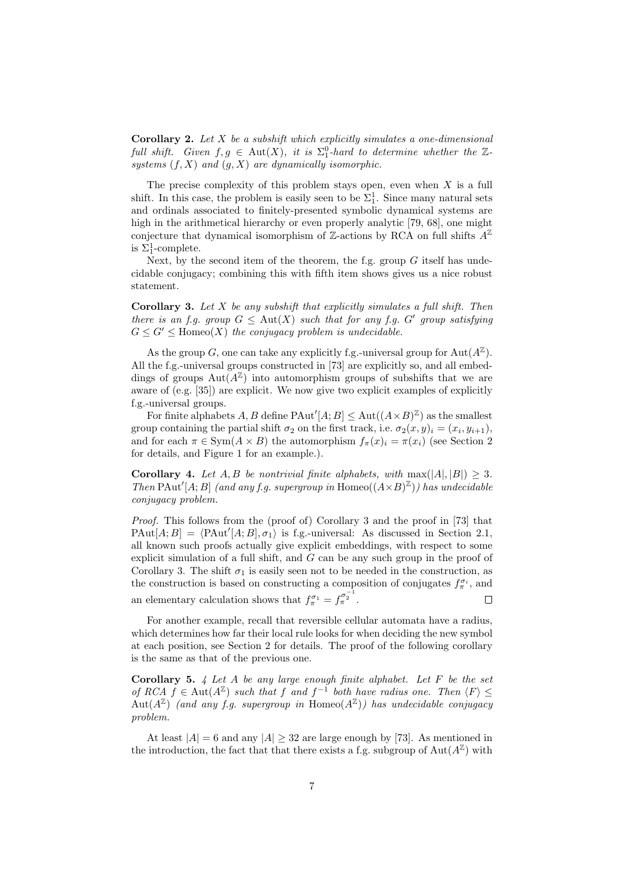**Corollary 2.** Let  $X$  be a subshift which explicitly simulates a one-dimensional full shift. Given  $f, g \in Aut(X)$ , it is  $\Sigma_1^0$ -hard to determine whether the Zsystems  $(f, X)$  and  $(g, X)$  are dynamically isomorphic.

The precise complexity of this problem stays open, even when  $X$  is a full shift. In this case, the problem is easily seen to be  $\Sigma_1^1$ . Since many natural sets and ordinals associated to finitely-presented symbolic dynamical systems are high in the arithmetical hierarchy or even properly analytic [79, 68], one might conjecture that dynamical isomorphism of Z-actions by RCA on full shifts  $A^{\mathbb{Z}}$ is  $\Sigma_1^1$ -complete.

Next, by the second item of the theorem, the f.g. group  $G$  itself has undecidable conjugacy; combining this with fifth item shows gives us a nice robust statement.

**Corollary 3.** Let  $X$  be any subshift that explicitly simulates a full shift. Then there is an f.g. group  $G \leq \text{Aut}(X)$  such that for any f.g. G' group satisfying  $G \leq G' \leq \text{Homeo}(X)$  the conjugacy problem is undecidable.

As the group G, one can take any explicitly f.g.-universal group for  $\text{Aut}(A^{\mathbb{Z}})$ . All the f.g.-universal groups constructed in [73] are explicitly so, and all embeddings of groups  $Aut(A^{\mathbb{Z}})$  into automorphism groups of subshifts that we are aware of (e.g. [35]) are explicit. We now give two explicit examples of explicitly f.g.-universal groups.

For finite alphabets A, B define PAut<sup>'</sup> $[A; B] \leq$  Aut $((A \times B)^{\mathbb{Z}})$  as the smallest group containing the partial shift  $\sigma_2$  on the first track, i.e.  $\sigma_2(x, y)_i = (x_i, y_{i+1}),$ and for each  $\pi \in \text{Sym}(A \times B)$  the automorphism  $f_{\pi}(x) = \pi(x_i)$  (see Section 2) for details, and Figure 1 for an example.).

Corollary 4. Let A, B be nontrivial finite alphabets, with  $\max(|A|, |B|) > 3$ . Then PAut<sup>'</sup>[A; B] (and any f.g. supergroup in Homeo( $(A \times B)^{\mathbb{Z}}$ )) has undecidable conjugacy problem.

Proof. This follows from the (proof of) Corollary 3 and the proof in [73] that  $\text{PAut}[A; B] = \langle \text{PAut}'[A; B], \sigma_1 \rangle$  is f.g.-universal: As discussed in Section 2.1, all known such proofs actually give explicit embeddings, with respect to some explicit simulation of a full shift, and G can be any such group in the proof of Corollary 3. The shift  $\sigma_1$  is easily seen not to be needed in the construction, as the construction is based on constructing a composition of conjugates  $f_{\pi}^{\sigma_i}$ , and an elementary calculation shows that  $f_{\pi}^{\sigma_1} = f_{\pi}^{\sigma_2^{-1}}$ .  $\Box$ 

For another example, recall that reversible cellular automata have a radius, which determines how far their local rule looks for when deciding the new symbol at each position, see Section 2 for details. The proof of the following corollary is the same as that of the previous one.

**Corollary 5.** 4 Let A be any large enough finite alphabet. Let  $F$  be the set of RCA  $f \in Aut(A^{\mathbb{Z}})$  such that f and  $f^{-1}$  both have radius one. Then  $\langle F \rangle \leq$  $Aut(A^{\mathbb{Z}})$  (and any f.g. supergroup in Homeo $(A^{\mathbb{Z}})$ ) has undecidable conjugacy problem.

At least  $|A| = 6$  and any  $|A| \geq 32$  are large enough by [73]. As mentioned in the introduction, the fact that that there exists a f.g. subgroup of  $\text{Aut}(A^{\mathbb{Z}})$  with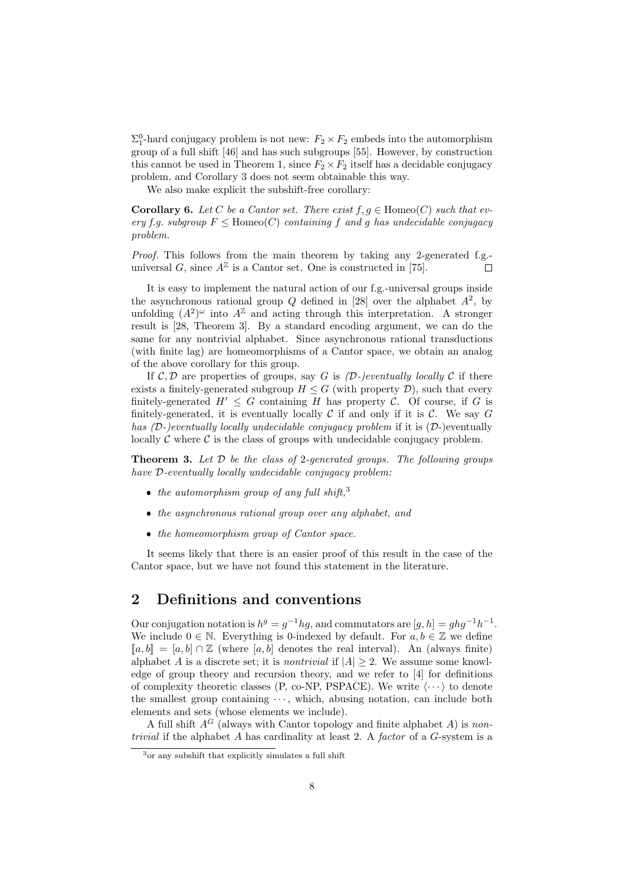$\Sigma_1^0$ -hard conjugacy problem is not new:  $F_2 \times F_2$  embeds into the automorphism group of a full shift [46] and has such subgroups [55]. However, by construction this cannot be used in Theorem 1, since  $F_2 \times F_2$  itself has a decidable conjugacy problem, and Corollary 3 does not seem obtainable this way.

We also make explicit the subshift-free corollary:

**Corollary 6.** Let C be a Cantor set. There exist  $f, g \in \text{Homeo}(C)$  such that every f.g. subgroup  $F \leq$  Homeo $(C)$  containing f and g has undecidable conjugacy problem.

Proof. This follows from the main theorem by taking any 2-generated f.g.universal G, since  $A^{\mathbb{Z}}$  is a Cantor set. One is constructed in [75]. Е

It is easy to implement the natural action of our f.g.-universal groups inside the asynchronous rational group Q defined in [28] over the alphabet  $A^2$ , by unfolding  $(A^2)^\omega$  into  $A^{\mathbb{Z}}$  and acting through this interpretation. A stronger result is [28, Theorem 3]. By a standard encoding argument, we can do the same for any nontrivial alphabet. Since asynchronous rational transductions (with finite lag) are homeomorphisms of a Cantor space, we obtain an analog of the above corollary for this group.

If  $\mathcal{C}, \mathcal{D}$  are properties of groups, say G is  $(\mathcal{D}\text{-})$ eventually locally  $\mathcal{C}$  if there exists a finitely-generated subgroup  $H \leq G$  (with property  $\mathcal{D}$ ), such that every finitely-generated  $H' \leq G$  containing H has property C. Of course, if G is finitely-generated, it is eventually locally  $C$  if and only if it is  $C$ . We say  $G$ has  $(D-)$ eventually locally undecidable conjugacy problem if it is  $(D-)$ eventually locally  $\mathcal C$  where  $\mathcal C$  is the class of groups with undecidable conjugacy problem.

**Theorem 3.** Let  $D$  be the class of 2-generated groups. The following groups have D-eventually locally undecidable conjugacy problem:

- $\bullet$  the automorphism group of any full shift,<sup>3</sup>
- the asynchronous rational group over any alphabet, and
- $\bullet$  the homeomorphism group of Cantor space.

It seems likely that there is an easier proof of this result in the case of the Cantor space, but we have not found this statement in the literature.

## 2 Definitions and conventions

Our conjugation notation is  $h^g = g^{-1}hg$ , and commutators are  $[g, h] = ghg^{-1}h^{-1}$ . We include  $0 \in \mathbb{N}$ . Everything is 0-indexed by default. For  $a, b \in \mathbb{Z}$  we define  $[a, b] = [a, b] \cap \mathbb{Z}$  (where  $[a, b]$  denotes the real interval). An (always finite) alphabet A is a discrete set; it is *nontrivial* if  $|A| \geq 2$ . We assume some knowledge of group theory and recursion theory, and we refer to [4] for definitions of complexity theoretic classes (P, co-NP, PSPACE). We write  $\langle \cdots \rangle$  to denote the smallest group containing  $\cdots$ , which, abusing notation, can include both elements and sets (whose elements we include).

A full shift  $A^G$  (always with Cantor topology and finite alphabet A) is non*trivial* if the alphabet A has cardinality at least 2. A factor of a  $G$ -system is a

<sup>3</sup>or any subshift that explicitly simulates a full shift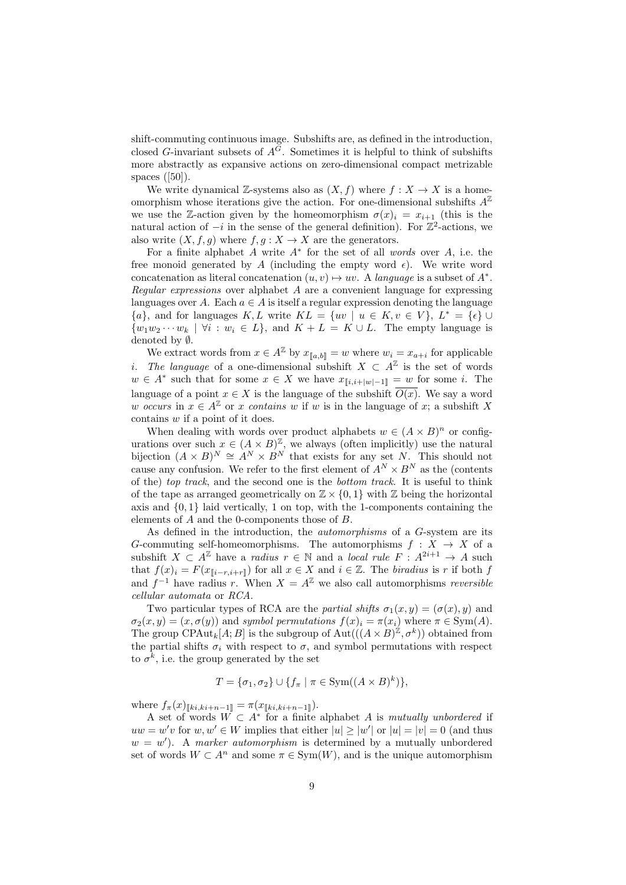shift-commuting continuous image. Subshifts are, as defined in the introduction, closed G-invariant subsets of  $A^{\tilde{G}}$ . Sometimes it is helpful to think of subshifts more abstractly as expansive actions on zero-dimensional compact metrizable spaces ([50]).

We write dynamical Z-systems also as  $(X, f)$  where  $f: X \to X$  is a homeomorphism whose iterations give the action. For one-dimensional subshifts  $A^{\mathbb{Z}}$ we use the Z-action given by the homeomorphism  $\sigma(x)_i = x_{i+1}$  (this is the natural action of  $-i$  in the sense of the general definition). For  $\mathbb{Z}^2$ -actions, we also write  $(X, f, g)$  where  $f, g: X \to X$  are the generators.

For a finite alphabet  $A$  write  $A^*$  for the set of all words over  $A$ , i.e. the free monoid generated by A (including the empty word  $\epsilon$ ). We write word concatenation as literal concatenation  $(u, v) \mapsto uv$ . A language is a subset of  $A^*$ . Regular expressions over alphabet A are a convenient language for expressing languages over A. Each  $a \in A$  is itself a regular expression denoting the language  ${a}$ , and for languages K, L write  $KL = \{uv \mid u \in K, v \in V\}, L^* = \{\epsilon\} \cup$  $\{w_1w_2\cdots w_k \mid \forall i : w_i \in L\}$ , and  $K + L = K \cup L$ . The empty language is denoted by ∅.

We extract words from  $x \in A^{\mathbb{Z}}$  by  $x_{\llbracket a,b \rrbracket} = w$  where  $w_i = x_{a+i}$  for applicable *i*. The language of a one-dimensional subshift  $X \subset A^{\mathbb{Z}}$  is the set of words  $w \in A^*$  such that for some  $x \in X$  we have  $x_{\llbracket i,i+\lfloor w\rfloor-1\rrbracket} = w$  for some i. The language of a point  $x \in X$  is the language of the subshift  $\overline{O(x)}$ . We say a word w occurs in  $x \in A^{\mathbb{Z}}$  or x contains w if w is in the language of x; a subshift X contains w if a point of it does.

When dealing with words over product alphabets  $w \in (A \times B)^n$  or configurations over such  $x \in (A \times B)^{\mathbb{Z}}$ , we always (often implicitly) use the natural bijection  $(A \times B)^N \cong A^N \times B^N$  that exists for any set N. This should not cause any confusion. We refer to the first element of  $A^N \times B^N$  as the (contents of the) top track, and the second one is the bottom track. It is useful to think of the tape as arranged geometrically on  $\mathbb{Z} \times \{0,1\}$  with  $\mathbb{Z}$  being the horizontal axis and  $\{0,1\}$  laid vertically, 1 on top, with the 1-components containing the elements of A and the 0-components those of B.

As defined in the introduction, the automorphisms of a G-system are its G-commuting self-homeomorphisms. The automorphisms  $f : X \to X$  of a subshift  $X \subset A^{\mathbb{Z}}$  have a *radius*  $r \in \mathbb{N}$  and a *local rule F* :  $A^{2i+1} \to A$  such that  $f(x)_i = F(x_{\llbracket i-r,i+r \rrbracket})$  for all  $x \in X$  and  $i \in \mathbb{Z}$ . The biradius is r if both f and  $f^{-1}$  have radius r. When  $X = A^{\mathbb{Z}}$  we also call automorphisms reversible cellular automata or RCA.

Two particular types of RCA are the partial shifts  $\sigma_1(x, y) = (\sigma(x), y)$  and  $\sigma_2(x, y) = (x, \sigma(y))$  and symbol permutations  $f(x)_i = \pi(x_i)$  where  $\pi \in \text{Sym}(A)$ . The group CPAut<sub>k</sub>[A; B] is the subgroup of  $\text{Aut}(((A \times B)^{\mathbb{Z}}, \sigma^k))$  obtained from the partial shifts  $\sigma_i$  with respect to  $\sigma$ , and symbol permutations with respect to  $\sigma^k$ , i.e. the group generated by the set

$$
T = \{\sigma_1, \sigma_2\} \cup \{f_\pi \mid \pi \in \text{Sym}((A \times B)^k)\},\
$$

where  $f_{\pi}(x)_{\llbracket ki, ki+n-1 \rrbracket} = \pi(x_{\llbracket ki, ki+n-1 \rrbracket}).$ 

A set of words  $W \subset A^*$  for a finite alphabet A is mutually unbordered if  $uw = w'v$  for  $w, w' \in W$  implies that either  $|u| \geq |w'|$  or  $|u| = |v| = 0$  (and thus  $w = w'$ ). A marker automorphism is determined by a mutually unbordered set of words  $W \subset A^n$  and some  $\pi \in \text{Sym}(W)$ , and is the unique automorphism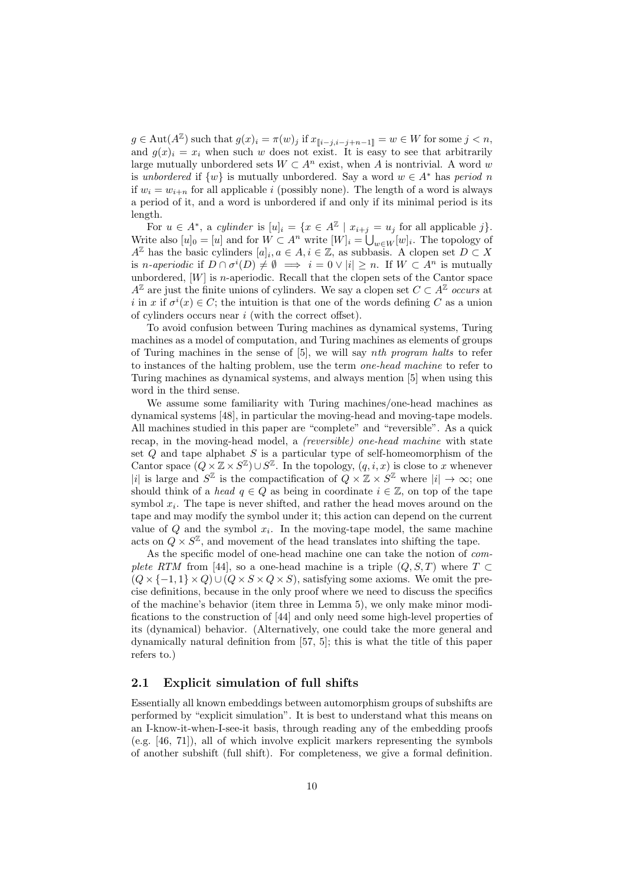$g \in \text{Aut}(A^{\mathbb{Z}})$  such that  $g(x)_i = \pi(w)_j$  if  $x_{[i-j,i-j+n-1]} = w \in W$  for some  $j < n$ , and  $g(x)_i = x_i$  when such w does not exist. It is easy to see that arbitrarily large mutually unbordered sets  $W \subset A^n$  exist, when A is nontrivial. A word w is unbordered if  $\{w\}$  is mutually unbordered. Say a word  $w \in A^*$  has period n if  $w_i = w_{i+n}$  for all applicable i (possibly none). The length of a word is always a period of it, and a word is unbordered if and only if its minimal period is its length.

For  $u \in A^*$ , a cylinder is  $[u]_i = \{x \in A^{\mathbb{Z}} \mid x_{i+j} = u_j \text{ for all applicable } j\}.$ Write also  $[u]_0 = [u]$  and for  $W \subset A^n$  write  $[W]_i = \bigcup_{w \in W} [w]_i$ . The topology of  $A^{\mathbb{Z}}$  has the basic cylinders  $[a]_i, a \in A, i \in \mathbb{Z}$ , as subbasis. A clopen set  $D \subset X$ is *n*-aperiodic if  $D \cap \sigma^{i}(D) \neq \emptyset \implies i = 0 \vee |i| \geq n$ . If  $W \subset A^{n}$  is mutually unbordered,  $[W]$  is *n*-aperiodic. Recall that the clopen sets of the Cantor space  $A^{\mathbb{Z}}$  are just the finite unions of cylinders. We say a clopen set  $C \subset A^{\mathbb{Z}}$  occurs at i in x if  $\sigma^i(x) \in C$ ; the intuition is that one of the words defining C as a union of cylinders occurs near  $i$  (with the correct offset).

To avoid confusion between Turing machines as dynamical systems, Turing machines as a model of computation, and Turing machines as elements of groups of Turing machines in the sense of [5], we will say nth program halts to refer to instances of the halting problem, use the term one-head machine to refer to Turing machines as dynamical systems, and always mention [5] when using this word in the third sense.

We assume some familiarity with Turing machines/one-head machines as dynamical systems [48], in particular the moving-head and moving-tape models. All machines studied in this paper are "complete" and "reversible". As a quick recap, in the moving-head model, a *(reversible)* one-head machine with state set  $Q$  and tape alphabet  $S$  is a particular type of self-homeomorphism of the Cantor space  $(Q \times \mathbb{Z} \times S^{\mathbb{Z}}) \cup S^{\mathbb{Z}}$ . In the topology,  $(q, i, x)$  is close to x whenever |i| is large and  $S^{\mathbb{Z}}$  is the compactification of  $Q \times \mathbb{Z} \times S^{\mathbb{Z}}$  where  $|i| \to \infty$ ; one should think of a head  $q \in Q$  as being in coordinate  $i \in \mathbb{Z}$ , on top of the tape symbol  $x_i$ . The tape is never shifted, and rather the head moves around on the tape and may modify the symbol under it; this action can depend on the current value of  $Q$  and the symbol  $x_i$ . In the moving-tape model, the same machine acts on  $Q \times S^{\mathbb{Z}}$ , and movement of the head translates into shifting the tape.

As the specific model of one-head machine one can take the notion of complete RTM from [44], so a one-head machine is a triple  $(Q, S, T)$  where  $T \subset$  $(Q \times \{-1, 1\} \times Q) \cup (Q \times S \times Q \times S)$ , satisfying some axioms. We omit the precise definitions, because in the only proof where we need to discuss the specifics of the machine's behavior (item three in Lemma 5), we only make minor modifications to the construction of [44] and only need some high-level properties of its (dynamical) behavior. (Alternatively, one could take the more general and dynamically natural definition from [57, 5]; this is what the title of this paper refers to.)

#### 2.1 Explicit simulation of full shifts

Essentially all known embeddings between automorphism groups of subshifts are performed by "explicit simulation". It is best to understand what this means on an I-know-it-when-I-see-it basis, through reading any of the embedding proofs (e.g. [46, 71]), all of which involve explicit markers representing the symbols of another subshift (full shift). For completeness, we give a formal definition.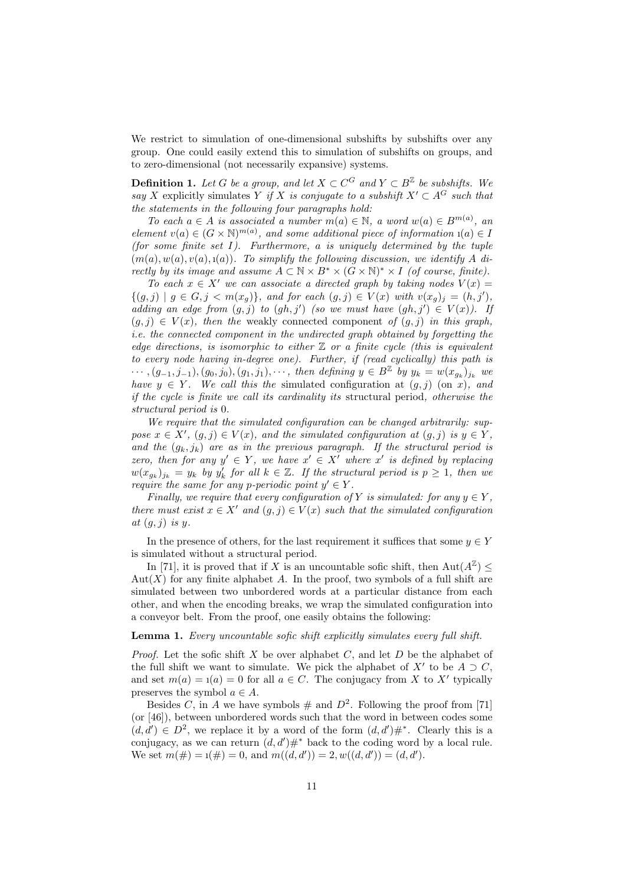We restrict to simulation of one-dimensional subshifts by subshifts over any group. One could easily extend this to simulation of subshifts on groups, and to zero-dimensional (not necessarily expansive) systems.

**Definition 1.** Let G be a group, and let  $X \subset C^G$  and  $Y \subset B^{\mathbb{Z}}$  be subshifts. We say X explicitly simulates Y if X is conjugate to a subshift  $X' \subset A^G$  such that the statements in the following four paragraphs hold:

To each  $a \in A$  is associated a number  $m(a) \in \mathbb{N}$ , a word  $w(a) \in B^{m(a)}$ , an element  $v(a) \in (G \times N)^{m(a)}$ , and some additional piece of information  $u(a) \in D$ (for some finite set  $I$ ). Furthermore, a is uniquely determined by the tuple  $(m(a), w(a), v(a), i(a))$ . To simplify the following discussion, we identify A directly by its image and assume  $A \subset \mathbb{N} \times B^* \times (G \times \mathbb{N})^* \times I$  (of course, finite).

To each  $x \in X'$  we can associate a directed graph by taking nodes  $V(x) =$  $\{(g, j) | g \in G, j < m(x_g)\},\$ and for each  $(g, j) \in V(x)$  with  $v(x_g)_j = (h, j'),$ adding an edge from  $(g, j)$  to  $(gh, j')$  (so we must have  $(gh, j') \in V(x)$ ). If  $(q, j) \in V(x)$ , then the weakly connected component of  $(q, j)$  in this graph, i.e. the connected component in the undirected graph obtained by forgetting the edge directions, is isomorphic to either  $\mathbb Z$  or a finite cycle (this is equivalent to every node having in-degree one). Further, if (read cyclically) this path is  $\cdots$ ,  $(g_{-1}, j_{-1}), (g_0, j_0), (g_1, j_1), \cdots$ , then defining  $y \in B^{\mathbb{Z}}$  by  $y_k = w(x_{g_k})_{j_k}$  we have  $y \in Y$ . We call this the simulated configuration at  $(g, j)$  (on x), and if the cycle is finite we call its cardinality its structural period, otherwise the structural period is 0.

We require that the simulated configuration can be changed arbitrarily: suppose  $x \in X'$ ,  $(g, j) \in V(x)$ , and the simulated configuration at  $(g, j)$  is  $y \in Y$ , and the  $(g_k, j_k)$  are as in the previous paragraph. If the structural period is zero, then for any  $y' \in Y$ , we have  $x' \in X'$  where x' is defined by replacing  $w(x_{g_k})_{j_k} = y_k$  by  $y'_k$  for all  $k \in \mathbb{Z}$ . If the structural period is  $p \geq 1$ , then we require the same for any p-periodic point  $y' \in Y$ .

Finally, we require that every configuration of Y is simulated: for any  $y \in Y$ , there must exist  $x \in X'$  and  $(g, j) \in V(x)$  such that the simulated configuration at  $(g, j)$  is y.

In the presence of others, for the last requirement it suffices that some  $y \in Y$ is simulated without a structural period.

In [71], it is proved that if X is an uncountable sofic shift, then  $\text{Aut}(A^{\mathbb{Z}}) \leq$  $Aut(X)$  for any finite alphabet A. In the proof, two symbols of a full shift are simulated between two unbordered words at a particular distance from each other, and when the encoding breaks, we wrap the simulated configuration into a conveyor belt. From the proof, one easily obtains the following:

#### **Lemma 1.** Every uncountable sofic shift explicitly simulates every full shift.

*Proof.* Let the sofic shift X be over alphabet C, and let D be the alphabet of the full shift we want to simulate. We pick the alphabet of  $X'$  to be  $A \supset C$ , and set  $m(a) = 1(a) = 0$  for all  $a \in C$ . The conjugacy from X to X' typically preserves the symbol  $a \in A$ .

Besides C, in A we have symbols  $#$  and  $D^2$ . Following the proof from [71] (or [46]), between unbordered words such that the word in between codes some  $(d, d') \in D^2$ , we replace it by a word of the form  $(d, d')#^*$ . Clearly this is a conjugacy, as we can return  $(d, d')#^*$  back to the coding word by a local rule. We set  $m(\#)=1(\#)=0$ , and  $m((d, d'))=2, w((d, d'))=(d, d').$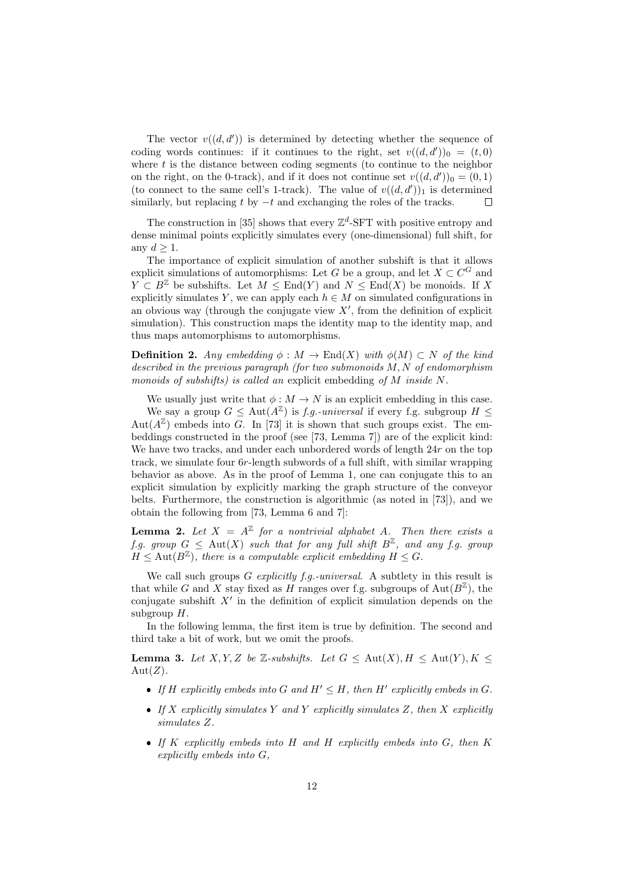The vector  $v((d, d'))$  is determined by detecting whether the sequence of coding words continues: if it continues to the right, set  $v((d, d'))_0 = (t, 0)$ where  $t$  is the distance between coding segments (to continue to the neighbor on the right, on the 0-track), and if it does not continue set  $v((d, d'))_0 = (0, 1)$ (to connect to the same cell's 1-track). The value of  $v((d, d'))_1$  is determined similarly, but replacing t by  $-t$  and exchanging the roles of the tracks.  $\Box$ 

The construction in [35] shows that every  $\mathbb{Z}^d$ -SFT with positive entropy and dense minimal points explicitly simulates every (one-dimensional) full shift, for any  $d > 1$ .

The importance of explicit simulation of another subshift is that it allows explicit simulations of automorphisms: Let G be a group, and let  $X \subset C^G$  and  $Y \subset B^{\mathbb{Z}}$  be subshifts. Let  $M \leq \text{End}(Y)$  and  $N \leq \text{End}(X)$  be monoids. If X explicitly simulates Y, we can apply each  $h \in M$  on simulated configurations in an obvious way (through the conjugate view  $X'$ , from the definition of explicit simulation). This construction maps the identity map to the identity map, and thus maps automorphisms to automorphisms.

**Definition 2.** Any embedding  $\phi : M \to \text{End}(X)$  with  $\phi(M) \subset N$  of the kind described in the previous paragraph (for two submonoids M, N of endomorphism monoids of subshifts) is called an explicit embedding of M inside N.

We usually just write that  $\phi : M \to N$  is an explicit embedding in this case.

We say a group  $G \leq \text{Aut}(A^{\mathbb{Z}})$  is f.g. universal if every f.g. subgroup  $H \leq$ Aut $(A^{\mathbb{Z}})$  embeds into G. In [73] it is shown that such groups exist. The embeddings constructed in the proof (see [73, Lemma 7]) are of the explicit kind: We have two tracks, and under each unbordered words of length  $24r$  on the top track, we simulate four 6r-length subwords of a full shift, with similar wrapping behavior as above. As in the proof of Lemma 1, one can conjugate this to an explicit simulation by explicitly marking the graph structure of the conveyor belts. Furthermore, the construction is algorithmic (as noted in [73]), and we obtain the following from [73, Lemma 6 and 7]:

**Lemma 2.** Let  $X = A^{\mathbb{Z}}$  for a nontrivial alphabet A. Then there exists a f.g. group  $G \leq$  Aut $(X)$  such that for any full shift  $B^{\mathbb{Z}}$ , and any f.g. group  $H \leq \text{Aut}(B^{\mathbb{Z}})$ , there is a computable explicit embedding  $H \leq G$ .

We call such groups  $G$  explicitly  $f.g.-universal$ . A subtlety in this result is that while G and X stay fixed as H ranges over f.g. subgroups of  $Aut(B^{\mathbb{Z}})$ , the conjugate subshift  $X'$  in the definition of explicit simulation depends on the subgroup  $H$ .

In the following lemma, the first item is true by definition. The second and third take a bit of work, but we omit the proofs.

**Lemma 3.** Let X, Y, Z be Z-subshifts. Let  $G \leq \text{Aut}(X)$ ,  $H \leq \text{Aut}(Y)$ ,  $K \leq$  $Aut(Z)$ .

- If H explicitly embeds into G and  $H' \leq H$ , then H' explicitly embeds in G.
- If X explicitly simulates Y and Y explicitly simulates Z, then X explicitly simulates Z.
- If K explicitly embeds into H and H explicitly embeds into G, then K explicitly embeds into G,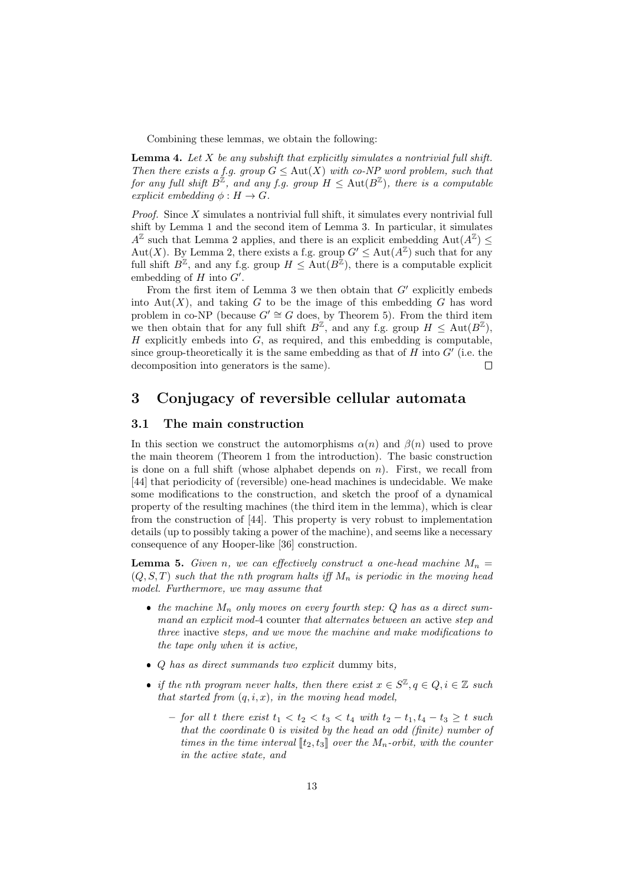Combining these lemmas, we obtain the following:

**Lemma 4.** Let  $X$  be any subshift that explicitly simulates a nontrivial full shift. Then there exists a f.g. group  $G \leq \text{Aut}(X)$  with co-NP word problem, such that for any full shift  $B^{\mathbb{Z}}$ , and any f.g. group  $H \leq \text{Aut}(B^{\mathbb{Z}})$ , there is a computable explicit embedding  $\phi : H \to G$ .

Proof. Since X simulates a nontrivial full shift, it simulates every nontrivial full shift by Lemma 1 and the second item of Lemma 3. In particular, it simulates  $A^{\mathbb{Z}}$  such that Lemma 2 applies, and there is an explicit embedding  $\text{Aut}(A^{\mathbb{Z}}) \leq$ Aut(X). By Lemma 2, there exists a f.g. group  $G' \leq \text{Aut}(A^{\mathbb{Z}})$  such that for any full shift  $B^{\mathbb{Z}}$ , and any f.g. group  $H \leq \text{Aut}(B^{\mathbb{Z}})$ , there is a computable explicit embedding of  $H$  into  $G'$ .

From the first item of Lemma 3 we then obtain that  $G'$  explicitly embeds into Aut $(X)$ , and taking G to be the image of this embedding G has word problem in co-NP (because  $G' \cong G$  does, by Theorem 5). From the third item we then obtain that for any full shift  $B^{\mathbb{Z}}$ , and any f.g. group  $H \leq \text{Aut}(B^{\mathbb{Z}})$ ,  $H$  explicitly embeds into  $G$ , as required, and this embedding is computable, since group-theoretically it is the same embedding as that of  $H$  into  $G'$  (i.e. the decomposition into generators is the same). П

## 3 Conjugacy of reversible cellular automata

#### 3.1 The main construction

In this section we construct the automorphisms  $\alpha(n)$  and  $\beta(n)$  used to prove the main theorem (Theorem 1 from the introduction). The basic construction is done on a full shift (whose alphabet depends on  $n$ ). First, we recall from [44] that periodicity of (reversible) one-head machines is undecidable. We make some modifications to the construction, and sketch the proof of a dynamical property of the resulting machines (the third item in the lemma), which is clear from the construction of [44]. This property is very robust to implementation details (up to possibly taking a power of the machine), and seems like a necessary consequence of any Hooper-like [36] construction.

**Lemma 5.** Given n, we can effectively construct a one-head machine  $M_n =$  $(Q, S, T)$  such that the nth program halts iff  $M_n$  is periodic in the moving head model. Furthermore, we may assume that

- the machine  $M_n$  only moves on every fourth step:  $Q$  has as a direct summand an explicit mod-4 counter that alternates between an active step and three inactive steps, and we move the machine and make modifications to the tape only when it is active,
- $\bullet$  *Q* has as direct summands two explicit dummy bits,
- if the nth program never halts, then there exist  $x \in S^{\mathbb{Z}}, q \in Q, i \in \mathbb{Z}$  such that started from  $(q, i, x)$ , in the moving head model,
	- for all t there exist  $t_1 < t_2 < t_3 < t_4$  with  $t_2 t_1, t_4 t_3 ≥ t$  such that the coordinate 0 is visited by the head an odd (finite) number of times in the time interval  $\llbracket t_2, t_3 \rrbracket$  over the  $M_n$ -orbit, with the counter in the active state, and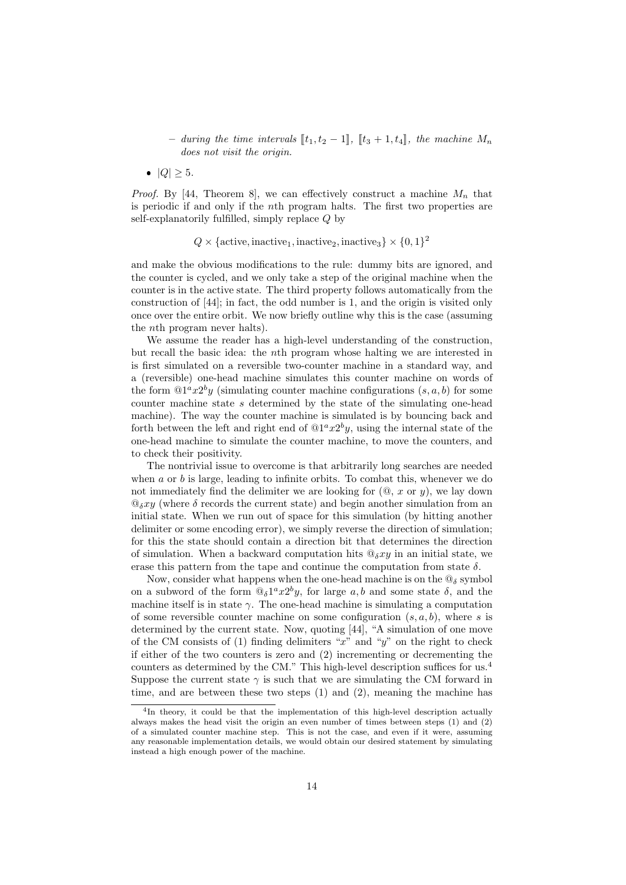– during the time intervals  $[[t_1, t_2 - 1]]$ ,  $[[t_3 + 1, t_4]]$ , the machine  $M_n$ does not visit the origin.

 $|Q| \geq 5.$ 

*Proof.* By [44, Theorem 8], we can effectively construct a machine  $M_n$  that is periodic if and only if the nth program halts. The first two properties are self-explanatorily fulfilled, simply replace Q by

### $Q \times {\text{active, inactive}_1, \text{inactive}_2, \text{ inactive}_3} \times \{0, 1\}^2$

and make the obvious modifications to the rule: dummy bits are ignored, and the counter is cycled, and we only take a step of the original machine when the counter is in the active state. The third property follows automatically from the construction of [44]; in fact, the odd number is 1, and the origin is visited only once over the entire orbit. We now briefly outline why this is the case (assuming the nth program never halts).

We assume the reader has a high-level understanding of the construction, but recall the basic idea: the nth program whose halting we are interested in is first simulated on a reversible two-counter machine in a standard way, and a (reversible) one-head machine simulates this counter machine on words of the form  $@1^a x2^b y$  (simulating counter machine configurations  $(s, a, b)$  for some counter machine state  $s$  determined by the state of the simulating one-head machine). The way the counter machine is simulated is by bouncing back and forth between the left and right end of  $@1^a x2^b y$ , using the internal state of the one-head machine to simulate the counter machine, to move the counters, and to check their positivity.

The nontrivial issue to overcome is that arbitrarily long searches are needed when  $a$  or  $b$  is large, leading to infinite orbits. To combat this, whenever we do not immediately find the delimiter we are looking for  $(@, x$  or  $y)$ , we lay down  $\mathbb{Q}_{\delta} xy$  (where  $\delta$  records the current state) and begin another simulation from an initial state. When we run out of space for this simulation (by hitting another delimiter or some encoding error), we simply reverse the direction of simulation; for this the state should contain a direction bit that determines the direction of simulation. When a backward computation hits  $\mathcal{Q}_{\delta}xy$  in an initial state, we erase this pattern from the tape and continue the computation from state  $\delta$ .

Now, consider what happens when the one-head machine is on the  $\mathbb{Q}_{\delta}$  symbol on a subword of the form  $\mathbb{Q}_{\delta}1^a x 2^b y$ , for large a, b and some state  $\delta$ , and the machine itself is in state  $\gamma$ . The one-head machine is simulating a computation of some reversible counter machine on some configuration  $(s, a, b)$ , where s is determined by the current state. Now, quoting [44], "A simulation of one move of the CM consists of (1) finding delimiters " $x$ " and "y" on the right to check if either of the two counters is zero and (2) incrementing or decrementing the counters as determined by the CM." This high-level description suffices for us.<sup>4</sup> Suppose the current state  $\gamma$  is such that we are simulating the CM forward in time, and are between these two steps  $(1)$  and  $(2)$ , meaning the machine has

<sup>&</sup>lt;sup>4</sup>In theory, it could be that the implementation of this high-level description actually always makes the head visit the origin an even number of times between steps (1) and (2) of a simulated counter machine step. This is not the case, and even if it were, assuming any reasonable implementation details, we would obtain our desired statement by simulating instead a high enough power of the machine.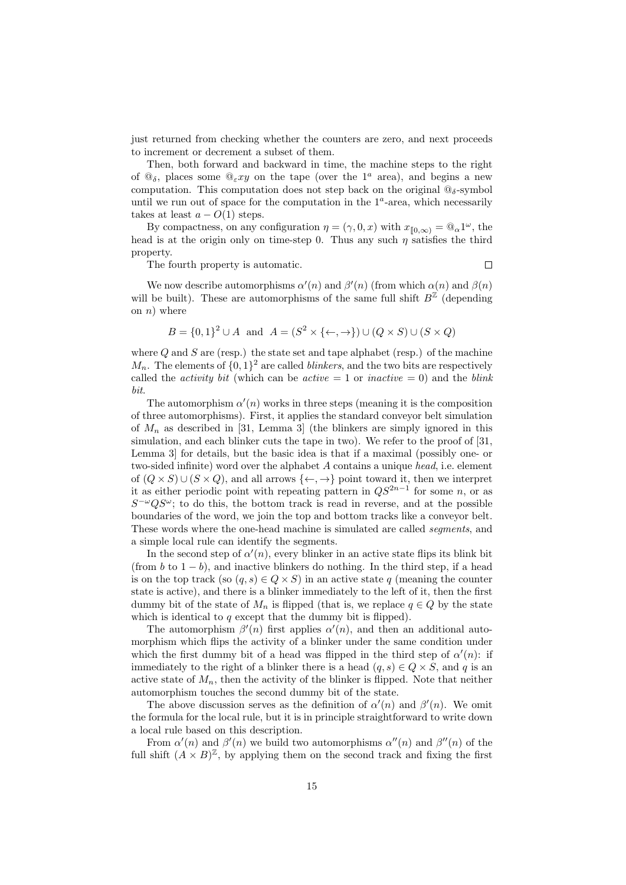just returned from checking whether the counters are zero, and next proceeds to increment or decrement a subset of them.

Then, both forward and backward in time, the machine steps to the right of  $\mathbb{Q}_{\delta}$ , places some  $\mathbb{Q}_{\varepsilon} xy$  on the tape (over the  $1^a$  area), and begins a new computation. This computation does not step back on the original  $@_{\delta}$ -symbol until we run out of space for the computation in the  $1<sup>a</sup>$ -area, which necessarily takes at least  $a - O(1)$  steps.

By compactness, on any configuration  $\eta = (\gamma, 0, x)$  with  $x_{[0,\infty)} = \mathbb{Q}_{\alpha} 1^{\omega}$ , the head is at the origin only on time-step 0. Thus any such  $\eta$  satisfies the third property.

The fourth property is automatic.

 $\Box$ 

We now describe automorphisms  $\alpha'(n)$  and  $\beta'(n)$  (from which  $\alpha(n)$  and  $\beta(n)$ ) will be built). These are automorphisms of the same full shift  $B^{\mathbb{Z}}$  (depending on  $n)$  where

$$
B = \{0, 1\}^2 \cup A \text{ and } A = (S^2 \times \{\leftarrow, \rightarrow\}) \cup (Q \times S) \cup (S \times Q)
$$

where  $Q$  and  $S$  are (resp.) the state set and tape alphabet (resp.) of the machine  $M_n$ . The elements of  $\{0,1\}^2$  are called *blinkers*, and the two bits are respectively called the *activity bit* (which can be *active* = 1 or *inactive* = 0) and the *blink* bit.

The automorphism  $\alpha'(n)$  works in three steps (meaning it is the composition of three automorphisms). First, it applies the standard conveyor belt simulation of  $M_n$  as described in [31, Lemma 3] (the blinkers are simply ignored in this simulation, and each blinker cuts the tape in two). We refer to the proof of [31, Lemma 3] for details, but the basic idea is that if a maximal (possibly one- or two-sided infinite) word over the alphabet A contains a unique head, i.e. element of  $(Q \times S) \cup (S \times Q)$ , and all arrows  $\{\leftarrow, \rightarrow\}$  point toward it, then we interpret it as either periodic point with repeating pattern in  $QS^{2n-1}$  for some n, or as  $S^{-\omega}QS^{\omega}$ ; to do this, the bottom track is read in reverse, and at the possible boundaries of the word, we join the top and bottom tracks like a conveyor belt. These words where the one-head machine is simulated are called segments, and a simple local rule can identify the segments.

In the second step of  $\alpha'(n)$ , every blinker in an active state flips its blink bit (from b to  $1 - b$ ), and inactive blinkers do nothing. In the third step, if a head is on the top track (so  $(q, s) \in Q \times S$ ) in an active state q (meaning the counter state is active), and there is a blinker immediately to the left of it, then the first dummy bit of the state of  $M_n$  is flipped (that is, we replace  $q \in Q$  by the state which is identical to  $q$  except that the dummy bit is flipped).

The automorphism  $\beta'(n)$  first applies  $\alpha'(n)$ , and then an additional automorphism which flips the activity of a blinker under the same condition under which the first dummy bit of a head was flipped in the third step of  $\alpha'(n)$ : if immediately to the right of a blinker there is a head  $(q, s) \in Q \times S$ , and q is an active state of  $M_n$ , then the activity of the blinker is flipped. Note that neither automorphism touches the second dummy bit of the state.

The above discussion serves as the definition of  $\alpha'(n)$  and  $\beta'(n)$ . We omit the formula for the local rule, but it is in principle straightforward to write down a local rule based on this description.

From  $\alpha'(n)$  and  $\beta'(n)$  we build two automorphisms  $\alpha''(n)$  and  $\beta''(n)$  of the full shift  $(A \times B)^{\mathbb{Z}}$ , by applying them on the second track and fixing the first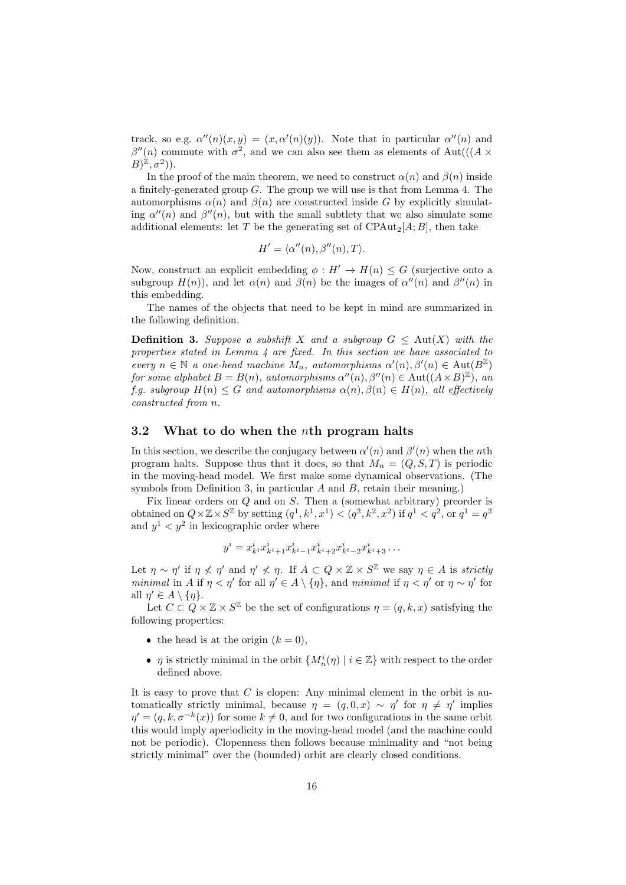track, so e.g.  $\alpha''(n)(x,y) = (x, \alpha'(n)(y))$ . Note that in particular  $\alpha''(n)$  and  $\beta''(n)$  commute with  $\sigma^2$ , and we can also see them as elements of Aut(((A ×  $(B)^{\mathbb{Z}}, \sigma^2$ )).

In the proof of the main theorem, we need to construct  $\alpha(n)$  and  $\beta(n)$  inside a finitely-generated group  $G$ . The group we will use is that from Lemma 4. The automorphisms  $\alpha(n)$  and  $\beta(n)$  are constructed inside G by explicitly simulating  $\alpha''(n)$  and  $\beta''(n)$ , but with the small subtlety that we also simulate some additional elements: let T be the generating set of CPAut<sub>2</sub>[A; B], then take

$$
H' = \langle \alpha''(n), \beta''(n), T \rangle.
$$

Now, construct an explicit embedding  $\phi: H' \to H(n) \leq G$  (surjective onto a subgroup  $H(n)$ , and let  $\alpha(n)$  and  $\beta(n)$  be the images of  $\alpha''(n)$  and  $\beta''(n)$  in this embedding.

The names of the objects that need to be kept in mind are summarized in the following definition.

**Definition 3.** Suppose a subshift X and a subgroup  $G \leq \text{Aut}(X)$  with the properties stated in Lemma 4 are fixed. In this section we have associated to every  $n \in \mathbb{N}$  a one-head machine  $M_n$ , automorphisms  $\alpha'(n), \beta'(n) \in \text{Aut}(B^{\mathbb{Z}})$ for some alphabet  $B = B(n)$ , automorphisms  $\alpha''(n), \beta''(n) \in \text{Aut}((A \times B)^{\mathbb{Z}})$ , and f.g. subgroup  $H(n) \leq G$  and automorphisms  $\alpha(n), \beta(n) \in H(n)$ , all effectively constructed from n.

#### 3.2 What to do when the nth program halts

In this section, we describe the conjugacy between  $\alpha'(n)$  and  $\beta'(n)$  when the nth program halts. Suppose thus that it does, so that  $M_n = (Q, S, T)$  is periodic in the moving-head model. We first make some dynamical observations. (The symbols from Definition 3, in particular A and B, retain their meaning.)

Fix linear orders on Q and on S. Then a (somewhat arbitrary) preorder is obtained on  $Q \times \mathbb{Z} \times S^{\mathbb{Z}}$  by setting  $(q^1, k^1, x^1) < (q^2, k^2, x^2)$  if  $q^1 < q^2$ , or  $q^1 = q^2$ and  $y^1 < y^2$  in lexicographic order where

$$
y^{i} = x_{k^{i}}^{i} x_{k^{i}+1}^{i} x_{k^{i}-1}^{i} x_{k^{i}+2}^{i} x_{k^{i}-2}^{i} x_{k^{i}+3}^{i} \dots
$$

Let  $\eta \sim \eta'$  if  $\eta \not\leq \eta'$  and  $\eta' \not\leq \eta$ . If  $A \subset Q \times \mathbb{Z} \times S^{\mathbb{Z}}$  we say  $\eta \in A$  is strictly minimal in A if  $\eta < \eta'$  for all  $\eta' \in A \setminus {\eta}$ , and minimal if  $\eta < \eta'$  or  $\eta \sim \eta'$  for all  $\eta' \in A \setminus \{\eta\}.$ 

Let  $C \subset Q \times \mathbb{Z} \times S^{\mathbb{Z}}$  be the set of configurations  $\eta = (q, k, x)$  satisfying the following properties:

- the head is at the origin  $(k = 0)$ ,
- $\eta$  is strictly minimal in the orbit  $\{M_n^i(\eta) \mid i \in \mathbb{Z}\}\$  with respect to the order defined above.

It is easy to prove that  $C$  is clopen: Any minimal element in the orbit is automatically strictly minimal, because  $\eta = (q, 0, x) \sim \eta'$  for  $\eta \neq \eta'$  implies  $\eta' = (q, k, \sigma^{-k}(x))$  for some  $k \neq 0$ , and for two configurations in the same orbit this would imply aperiodicity in the moving-head model (and the machine could not be periodic). Clopenness then follows because minimality and "not being strictly minimal" over the (bounded) orbit are clearly closed conditions.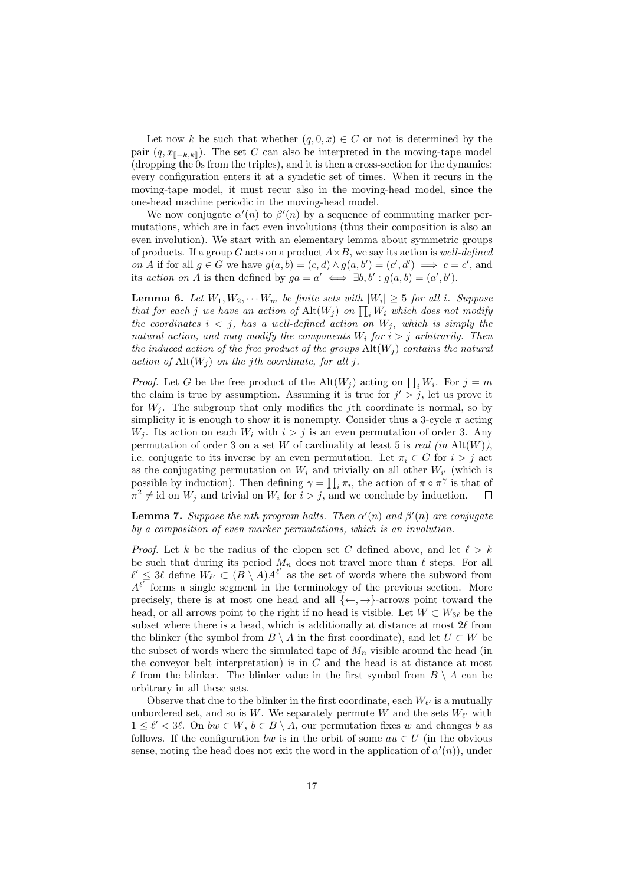Let now k be such that whether  $(q, 0, x) \in C$  or not is determined by the pair  $(q, x_{\mathbb{I} - k, k\mathbb{I}})$ . The set C can also be interpreted in the moving-tape model (dropping the 0s from the triples), and it is then a cross-section for the dynamics: every configuration enters it at a syndetic set of times. When it recurs in the moving-tape model, it must recur also in the moving-head model, since the one-head machine periodic in the moving-head model.

We now conjugate  $\alpha'(n)$  to  $\beta'(n)$  by a sequence of commuting marker permutations, which are in fact even involutions (thus their composition is also an even involution). We start with an elementary lemma about symmetric groups of products. If a group G acts on a product  $A \times B$ , we say its action is well-defined on A if for all  $g \in G$  we have  $g(a, b) = (c, d) \wedge g(a, b') = (c', d') \implies c = c'$ , and its action on A is then defined by  $ga = a' \iff \exists b, b' : g(a, b) = (a', b')$ .

**Lemma 6.** Let  $W_1, W_2, \cdots W_m$  be finite sets with  $|W_i| \geq 5$  for all i. Suppose that for each j we have an action of  $\mathrm{Alt}(W_j)$  on  $\prod_i W_i$  which does not modify the coordinates  $i < j$ , has a well-defined action on  $W_j$ , which is simply the natural action, and may modify the components  $W_i$  for  $i > j$  arbitrarily. Then the induced action of the free product of the groups  $\mathrm{Alt}(W_i)$  contains the natural action of  $\mathrm{Alt}(W_i)$  on the jth coordinate, for all j.

*Proof.* Let G be the free product of the Alt $(W_j)$  acting on  $\prod_i W_i$ . For  $j = m$ the claim is true by assumption. Assuming it is true for  $j' > j$ , let us prove it for  $W_i$ . The subgroup that only modifies the jth coordinate is normal, so by simplicity it is enough to show it is nonempty. Consider thus a 3-cycle  $\pi$  acting  $W_i$ . Its action on each  $W_i$  with  $i > j$  is an even permutation of order 3. Any permutation of order 3 on a set W of cardinality at least 5 is real (in  $\text{Alt}(W)$ ), i.e. conjugate to its inverse by an even permutation. Let  $\pi_i \in G$  for  $i > j$  act as the conjugating permutation on  $W_i$  and trivially on all other  $W_{i'}$  (which is possible by induction). Then defining  $\gamma = \prod_i \pi_i$ , the action of  $\pi \circ \pi^\gamma$  is that of  $\pi^2 \neq \text{id}$  on  $W_j$  and trivial on  $W_i$  for  $i > j$ , and we conclude by induction.  $\Box$ 

**Lemma 7.** Suppose the nth program halts. Then  $\alpha'(n)$  and  $\beta'(n)$  are conjugate by a composition of even marker permutations, which is an involution.

*Proof.* Let k be the radius of the clopen set C defined above, and let  $\ell > k$ be such that during its period  $M_n$  does not travel more than  $\ell$  steps. For all  $\ell' \leq 3\ell$  define  $W_{\ell'} \subset (B \setminus A)A^{\ell'}$  as the set of words where the subword from  $A^{\ell}$  forms a single segment in the terminology of the previous section. More precisely, there is at most one head and all  $\{\leftarrow, \rightarrow\}$ -arrows point toward the head, or all arrows point to the right if no head is visible. Let  $W \subset W_{3\ell}$  be the subset where there is a head, which is additionally at distance at most  $2\ell$  from the blinker (the symbol from  $B \setminus A$  in the first coordinate), and let  $U \subset W$  be the subset of words where the simulated tape of  $M_n$  visible around the head (in the conveyor belt interpretation) is in  $C$  and the head is at distance at most  $\ell$  from the blinker. The blinker value in the first symbol from  $B \setminus A$  can be arbitrary in all these sets.

Observe that due to the blinker in the first coordinate, each  $W_{\ell'}$  is a mutually unbordered set, and so is W. We separately permute W and the sets  $W_{\ell'}$  with  $1 \leq \ell' < 3\ell$ . On  $bw \in W$ ,  $b \in B \setminus A$ , our permutation fixes w and changes b as follows. If the configuration bw is in the orbit of some  $au \in U$  (in the obvious sense, noting the head does not exit the word in the application of  $\alpha'(n)$ , under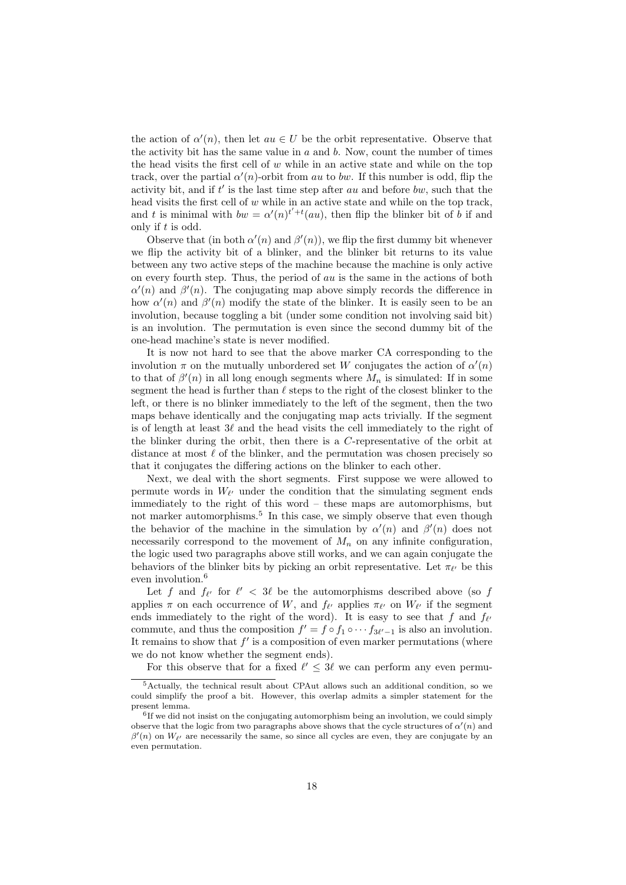the action of  $\alpha'(n)$ , then let  $au \in U$  be the orbit representative. Observe that the activity bit has the same value in  $a$  and  $b$ . Now, count the number of times the head visits the first cell of  $w$  while in an active state and while on the top track, over the partial  $\alpha'(n)$ -orbit from au to bw. If this number is odd, flip the activity bit, and if  $t'$  is the last time step after au and before bw, such that the head visits the first cell of w while in an active state and while on the top track, and t is minimal with  $bw = \alpha'(n)^{t'+t}(au)$ , then flip the blinker bit of b if and only if t is odd.

Observe that (in both  $\alpha'(n)$  and  $\beta'(n)$ ), we flip the first dummy bit whenever we flip the activity bit of a blinker, and the blinker bit returns to its value between any two active steps of the machine because the machine is only active on every fourth step. Thus, the period of  $au$  is the same in the actions of both  $\alpha'(n)$  and  $\beta'(n)$ . The conjugating map above simply records the difference in how  $\alpha'(n)$  and  $\beta'(n)$  modify the state of the blinker. It is easily seen to be an involution, because toggling a bit (under some condition not involving said bit) is an involution. The permutation is even since the second dummy bit of the one-head machine's state is never modified.

It is now not hard to see that the above marker CA corresponding to the involution  $\pi$  on the mutually unbordered set W conjugates the action of  $\alpha'(n)$ to that of  $\beta'(n)$  in all long enough segments where  $M_n$  is simulated: If in some segment the head is further than  $\ell$  steps to the right of the closest blinker to the left, or there is no blinker immediately to the left of the segment, then the two maps behave identically and the conjugating map acts trivially. If the segment is of length at least  $3\ell$  and the head visits the cell immediately to the right of the blinker during the orbit, then there is a C-representative of the orbit at distance at most  $\ell$  of the blinker, and the permutation was chosen precisely so that it conjugates the differing actions on the blinker to each other.

Next, we deal with the short segments. First suppose we were allowed to permute words in  $W_{\ell'}$  under the condition that the simulating segment ends immediately to the right of this word – these maps are automorphisms, but not marker automorphisms.<sup>5</sup> In this case, we simply observe that even though the behavior of the machine in the simulation by  $\alpha'(n)$  and  $\beta'(n)$  does not necessarily correspond to the movement of  $M_n$  on any infinite configuration, the logic used two paragraphs above still works, and we can again conjugate the behaviors of the blinker bits by picking an orbit representative. Let  $\pi_{\ell'}$  be this even involution.<sup>6</sup>

Let f and  $f_{\ell'}$  for  $\ell' < 3\ell$  be the automorphisms described above (so f applies  $\pi$  on each occurrence of W, and  $f_{\ell'}$  applies  $\pi_{\ell'}$  on  $W_{\ell'}$  if the segment ends immediately to the right of the word). It is easy to see that f and  $f_{\ell'}$ commute, and thus the composition  $f' = f \circ f_1 \circ \cdots f_{3\ell'-1}$  is also an involution. It remains to show that  $f'$  is a composition of even marker permutations (where we do not know whether the segment ends).

For this observe that for a fixed  $\ell' \leq 3\ell$  we can perform any even permu-

<sup>5</sup>Actually, the technical result about CPAut allows such an additional condition, so we could simplify the proof a bit. However, this overlap admits a simpler statement for the present lemma.

<sup>&</sup>lt;sup>6</sup>If we did not insist on the conjugating automorphism being an involution, we could simply observe that the logic from two paragraphs above shows that the cycle structures of  $\alpha'(n)$  and  $\beta'(n)$  on  $W_{\ell'}$  are necessarily the same, so since all cycles are even, they are conjugate by an even permutation.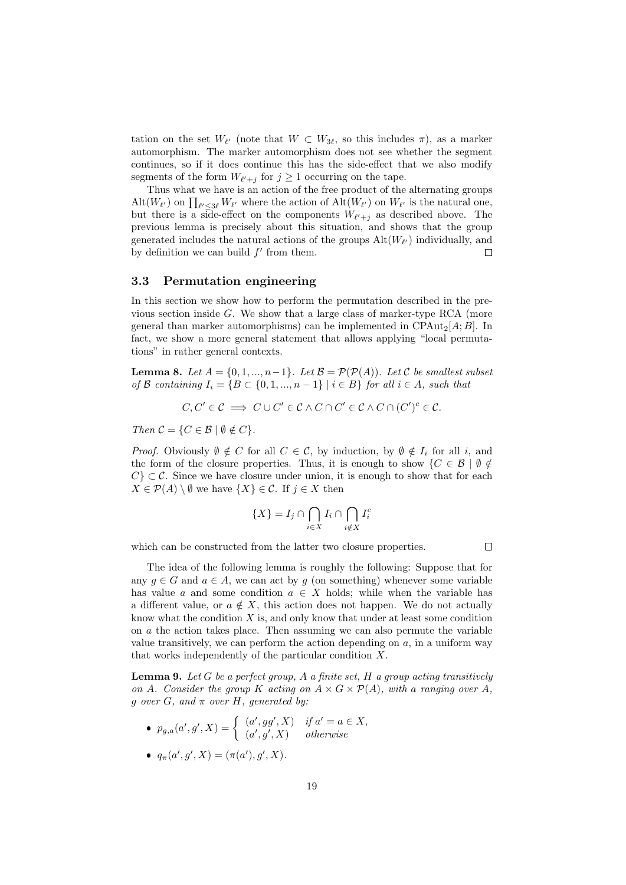tation on the set  $W_{\ell'}$  (note that  $W \subset W_{3\ell}$ , so this includes  $\pi$ ), as a marker automorphism. The marker automorphism does not see whether the segment continues, so if it does continue this has the side-effect that we also modify segments of the form  $W_{\ell'+j}$  for  $j \geq 1$  occurring on the tape.

Thus what we have is an action of the free product of the alternating groups  $\mathrm{Alt}(W_{\ell'})$  on  $\prod_{\ell' \leq 3\ell} W_{\ell'}$  where the action of  $\mathrm{Alt}(W_{\ell'})$  on  $W_{\ell'}$  is the natural one, but there is a side-effect on the components  $W_{\ell'+j}$  as described above. The previous lemma is precisely about this situation, and shows that the group generated includes the natural actions of the groups  $\mathrm{Alt}(W_{\ell'})$  individually, and by definition we can build  $f'$  from them. Г

#### 3.3 Permutation engineering

In this section we show how to perform the permutation described in the previous section inside  $G$ . We show that a large class of marker-type RCA (more general than marker automorphisms) can be implemented in  $CPAut_2[A;B]$ . In fact, we show a more general statement that allows applying "local permutations" in rather general contexts.

**Lemma 8.** Let  $A = \{0, 1, ..., n-1\}$ . Let  $B = \mathcal{P}(\mathcal{P}(A))$ . Let C be smallest subset of B containing  $I_i = \{B \subset \{0, 1, ..., n-1\} \mid i \in B\}$  for all  $i \in A$ , such that

$$
C, C' \in \mathcal{C} \implies C \cup C' \in \mathcal{C} \wedge C \cap C' \in \mathcal{C} \wedge C \cap (C')^c \in \mathcal{C}.
$$

Then  $C = \{C \in \mathcal{B} \mid \emptyset \notin C\}.$ 

*Proof.* Obviously  $\emptyset \notin C$  for all  $C \in \mathcal{C}$ , by induction, by  $\emptyset \notin I_i$  for all i, and the form of the closure properties. Thus, it is enough to show  $\{C \in \mathcal{B} \mid \emptyset \notin\mathcal{C}\}$  $C \subset \mathcal{C}$ . Since we have closure under union, it is enough to show that for each  $X \in \mathcal{P}(A) \setminus \emptyset$  we have  $\{X\} \in \mathcal{C}$ . If  $j \in X$  then

$$
\{X\} = I_j \cap \bigcap_{i \in X} I_i \cap \bigcap_{i \notin X} I_i^c
$$

which can be constructed from the latter two closure properties.

 $\Box$ 

The idea of the following lemma is roughly the following: Suppose that for any  $g \in G$  and  $a \in A$ , we can act by g (on something) whenever some variable has value a and some condition  $a \in X$  holds; while when the variable has a different value, or  $a \notin X$ , this action does not happen. We do not actually know what the condition  $X$  is, and only know that under at least some condition on a the action takes place. Then assuming we can also permute the variable value transitively, we can perform the action depending on  $a$ , in a uniform way that works independently of the particular condition X.

**Lemma 9.** Let  $G$  be a perfect group,  $A$  a finite set,  $H$  a group acting transitively on A. Consider the group K acting on  $A \times G \times \mathcal{P}(A)$ , with a ranging over A, q over G, and  $\pi$  over H, generated by:

- $p_{g,a}(a',g',X) = \begin{cases} (a',gg',X) & \text{if } a' = a \in X, \\ (a',a',X) & \text{otherwise.} \end{cases}$  $(a', g', X)$  otherwise
- $q_{\pi}(a', g', X) = (\pi(a'), g', X).$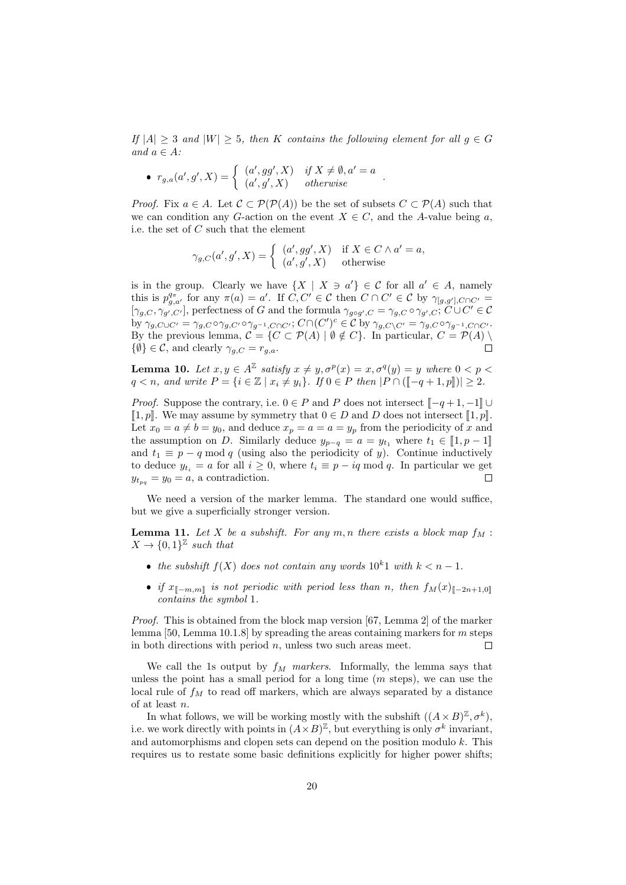If  $|A| \geq 3$  and  $|W| \geq 5$ , then K contains the following element for all  $g \in G$ and  $a \in A$ :

• 
$$
r_{g,a}(a',g',X) = \begin{cases} (a',gg',X) & \text{if } X \neq \emptyset, a' = a \\ (a',g',X) & \text{otherwise} \end{cases}
$$
.

*Proof.* Fix  $a \in A$ . Let  $\mathcal{C} \subset \mathcal{P}(\mathcal{P}(A))$  be the set of subsets  $C \subset \mathcal{P}(A)$  such that we can condition any G-action on the event  $X \in C$ , and the A-value being a, i.e. the set of C such that the element

$$
\gamma_{g,C}(a',g',X) = \begin{cases} (a',gg',X) & \text{if } X \in C \wedge a' = a, \\ (a',g',X) & \text{otherwise} \end{cases}
$$

is in the group. Clearly we have  $\{X \mid X \ni a'\} \in \mathcal{C}$  for all  $a' \in A$ , namely this is  $p_{g,a'}^{q_{\pi}}$  for any  $\pi(a) = a'$ . If  $C, C' \in \mathcal{C}$  then  $C \cap C' \in \mathcal{C}$  by  $\gamma_{[g,g'],C \cap C'} =$  $[\gamma_{g,C}, \gamma_{g',C'}],$  perfectness of G and the formula  $\gamma_{g \circ g',C} = \gamma_{g,C} \circ \gamma_{g',C};$   $C \cup C' \in \mathcal{C}$ by  $\gamma_{g,C\cup C'} = \gamma_{g,C} \circ \gamma_{g,C'} \circ \gamma_{g^{-1},C\cap C'}$ ;  $C \cap (C')^c \in C$  by  $\gamma_{g,C\setminus C'} = \gamma_{g,C} \circ \gamma_{g^{-1},C\cap C'}$ . By the previous lemma,  $C = \{C \subset \mathcal{P}(A) \mid \emptyset \notin C\}$ . In particular,  $C = \mathcal{P}(A) \setminus \emptyset$  $\{\emptyset\} \in \mathcal{C}$ , and clearly  $\gamma_{g,C} = r_{g,a}$ .

**Lemma 10.** Let  $x, y \in A^{\mathbb{Z}}$  satisfy  $x \neq y, \sigma^p(x) = x, \sigma^q(y) = y$  where  $0 < p <$  $q < n$ , and write  $P = \{i \in \mathbb{Z} \mid x_i \neq y_i\}$ . If  $0 \in P$  then  $|P \cap (\llbracket -q+1,p \rrbracket)| \geq 2$ .

*Proof.* Suppose the contrary, i.e.  $0 \in P$  and P does not intersect  $[-q+1,-1] \cup$  $\llbracket 1,p \rrbracket$ . We may assume by symmetry that  $0 \in D$  and D does not intersect  $\llbracket 1,p \rrbracket$ . Let  $x_0 = a \neq b = y_0$ , and deduce  $x_p = a = a = y_p$  from the periodicity of x and the assumption on D. Similarly deduce  $y_{p-q} = a = y_{t_1}$  where  $t_1 \in [1, p-1]$ and  $t_1 \equiv p - q \mod q$  (using also the periodicity of y). Continue inductively to deduce  $y_{t_i} = a$  for all  $i \geq 0$ , where  $t_i \equiv p - iq \mod q$ . In particular we get  $y_{t_{na}} = y_0 = a$ , a contradiction.  $\Box$ 

We need a version of the marker lemma. The standard one would suffice, but we give a superficially stronger version.

**Lemma 11.** Let X be a subshift. For any  $m, n$  there exists a block map  $f_M$ :  $X \to \{0,1\}^{\mathbb{Z}}$  such that

- the subshift  $f(X)$  does not contain any words  $10^k1$  with  $k < n 1$ .
- if  $x_{\llbracket -m,m\rrbracket}$  is not periodic with period less than n, then  $f_M(x)_{\llbracket -2n+1,0\rrbracket}$ contains the symbol 1.

Proof. This is obtained from the block map version [67, Lemma 2] of the marker lemma [50, Lemma 10.1.8] by spreading the areas containing markers for m steps in both directions with period  $n$ , unless two such areas meet.  $\Box$ 

We call the 1s output by  $f_M$  markers. Informally, the lemma says that unless the point has a small period for a long time  $(m \text{ steps})$ , we can use the local rule of  $f_M$  to read off markers, which are always separated by a distance of at least n.

In what follows, we will be working mostly with the subshift  $((A \times B)^{\mathbb{Z}}, \sigma^k)$ , i.e. we work directly with points in  $(A \times B)^{\mathbb{Z}}$ , but everything is only  $\sigma^k$  invariant, and automorphisms and clopen sets can depend on the position modulo  $k$ . This requires us to restate some basic definitions explicitly for higher power shifts;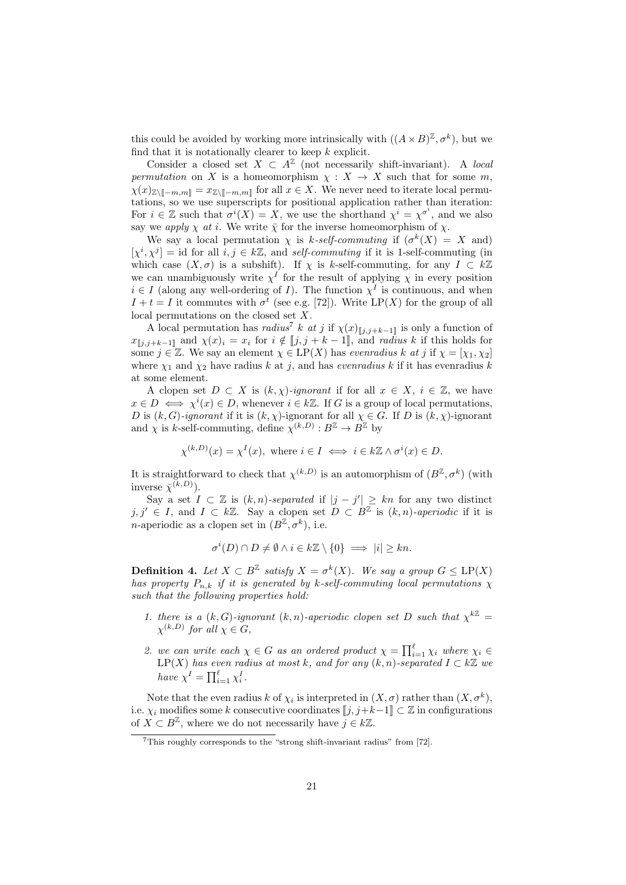this could be avoided by working more intrinsically with  $((A \times B)^{\mathbb{Z}}, \sigma^k)$ , but we find that it is notationally clearer to keep  $k$  explicit.

Consider a closed set  $X \subset A^{\mathbb{Z}}$  (not necessarily shift-invariant). A local permutation on X is a homeomorphism  $\chi : X \to X$  such that for some m,  $\chi(x)_{\mathbb{Z}\setminus\llbracket -m,m\rrbracket} = x_{\mathbb{Z}\setminus\llbracket -m,m\rrbracket}$  for all  $x \in X$ . We never need to iterate local permutations, so we use superscripts for positional application rather than iteration: For  $i \in \mathbb{Z}$  such that  $\sigma^{i}(X) = X$ , we use the shorthand  $\chi^{i} = \chi^{\sigma^{i}}$ , and we also say we apply  $\chi$  at i. We write  $\bar{\chi}$  for the inverse homeomorphism of  $\chi$ .

We say a local permutation  $\chi$  is k-self-commuting if  $(\sigma^k(X)) = X$  and)  $[\chi^i, \chi^j] =$  id for all  $i, j \in k\mathbb{Z}$ , and self-commuting if it is 1-self-commuting (in which case  $(X, \sigma)$  is a subshift). If  $\chi$  is k-self-commuting, for any  $I \subset k\mathbb{Z}$ we can unambiguously write  $\chi^I$  for the result of applying  $\chi$  in every position  $i \in I$  (along any well-ordering of I). The function  $\chi^I$  is continuous, and when  $I + t = I$  it commutes with  $\sigma^t$  (see e.g. [72]). Write LP(X) for the group of all local permutations on the closed set X.

A local permutation has *radius<sup>7</sup>* k at j if  $\chi(x)|_{[j,j+k-1]}$  is only a function of  $x_{\llbracket j,j+k-1\rrbracket}$  and  $\chi(x)_i = x_i$  for  $i \notin \llbracket j,j+k-1\rrbracket$ , and radius k if this holds for some  $j \in \mathbb{Z}$ . We say an element  $\chi \in \mathrm{LP}(X)$  has evenradius k at j if  $\chi = [\chi_1, \chi_2]$ where  $\chi_1$  and  $\chi_2$  have radius k at j, and has evenradius k if it has evenradius k at some element.

A clopen set  $D \subset X$  is  $(k, \chi)$ -ignorant if for all  $x \in X$ ,  $i \in \mathbb{Z}$ , we have  $x \in D \iff \chi^i(x) \in D$ , whenever  $i \in k\mathbb{Z}$ . If G is a group of local permutations, D is  $(k, G)$ -ignorant if it is  $(k, \chi)$ -ignorant for all  $\chi \in G$ . If D is  $(k, \chi)$ -ignorant and  $\chi$  is k-self-commuting, define  $\chi^{(k,D)} : B^{\mathbb{Z}} \to B^{\mathbb{Z}}$  by

$$
\chi^{(k,D)}(x) = \chi^I(x), \text{ where } i \in I \iff i \in k\mathbb{Z} \wedge \sigma^i(x) \in D.
$$

It is straightforward to check that  $\chi^{(k,D)}$  is an automorphism of  $(B^{\mathbb{Z}}, \sigma^k)$  (with inverse  $\bar{\chi}^{(k,D)}$ ).

Say a set  $I \subset \mathbb{Z}$  is  $(k,n)$ -separated if  $|j - j'| \geq kn$  for any two distinct  $j, j' \in I$ , and  $I \subset k\mathbb{Z}$ . Say a clopen set  $D \subset B^{\mathbb{Z}}$  is  $(k, n)$ -aperiodic if it is *n*-aperiodic as a clopen set in  $(B^{\mathbb{Z}}, \sigma^k)$ , i.e.

$$
\sigma^i(D) \cap D \neq \emptyset \land i \in k\mathbb{Z} \setminus \{0\} \implies |i| \geq kn.
$$

**Definition 4.** Let  $X \subset B^{\mathbb{Z}}$  satisfy  $X = \sigma^k(X)$ . We say a group  $G \leq \text{LP}(X)$ has property  $P_{n,k}$  if it is generated by k-self-commuting local permutations  $\chi$ such that the following properties hold:

- 1. there is a  $(k, G)$ -ignorant  $(k, n)$ -aperiodic clopen set D such that  $\chi^{k\mathbb{Z}} =$  $\chi^{(k,D)}$  for all  $\chi \in G$ ,
- 2. we can write each  $\chi \in G$  as an ordered product  $\chi = \prod_{i=1}^{\ell} \chi_i$  where  $\chi_i \in G$ LP(X) has even radius at most k, and for any  $(k, n)$ -separated  $I \subset k\mathbb{Z}$  we have  $\chi^I = \prod_{i=1}^{\ell} \chi_i^I$ .

Note that the even radius k of  $\chi_i$  is interpreted in  $(X, \sigma)$  rather than  $(X, \sigma^k)$ , i.e.  $\chi_i$  modifies some k consecutive coordinates  $\llbracket j, j+k-1 \rrbracket \subset \mathbb{Z}$  in configurations of  $X \subset B^{\mathbb{Z}}$ , where we do not necessarily have  $j \in k\mathbb{Z}$ .

 $7$ This roughly corresponds to the "strong shift-invariant radius" from [72].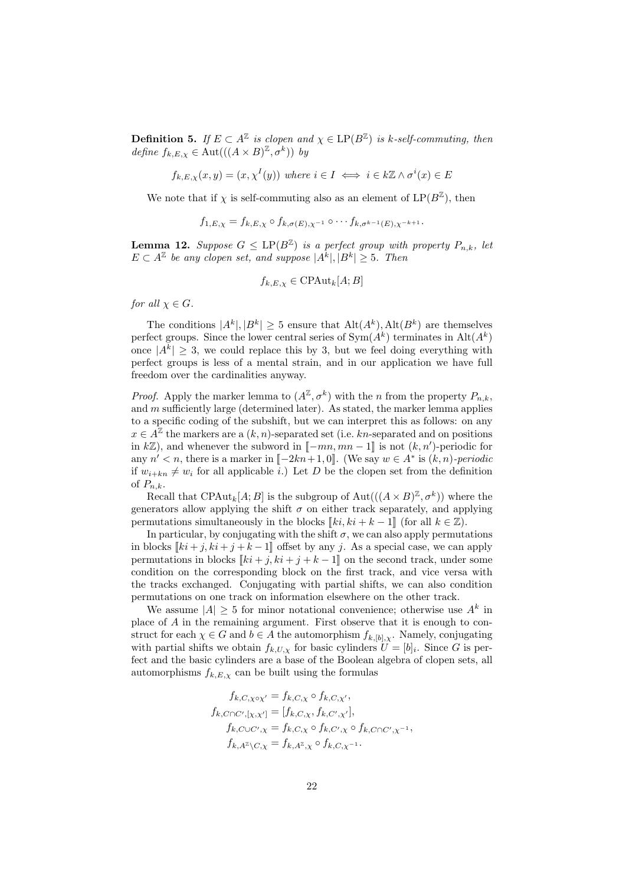**Definition 5.** If  $E \subset A^{\mathbb{Z}}$  is clopen and  $\chi \in \text{LP}(B^{\mathbb{Z}})$  is k-self-commuting, then define  $f_{k,E,\chi} \in \text{Aut}(((A \times B)^{\mathbb{Z}}, \sigma^k))$  by

$$
f_{k,E,\chi}(x,y) = (x, \chi^I(y))
$$
 where  $i \in I \iff i \in k\mathbb{Z} \wedge \sigma^i(x) \in E$ 

We note that if  $\chi$  is self-commuting also as an element of  $LP(B^{\mathbb{Z}})$ , then

$$
f_{1,E,\chi} = f_{k,E,\chi} \circ f_{k,\sigma(E),\chi^{-1}} \circ \cdots f_{k,\sigma^{k-1}(E),\chi^{-k+1}}.
$$

**Lemma 12.** Suppose  $G \leq \text{LP}(B^{\mathbb{Z}})$  is a perfect group with property  $P_{n,k}$ , let  $E \subset A^{\mathbb{Z}}$  be any clopen set, and suppose  $|A^{k}|, |B^{k}| \geq 5$ . Then

$$
f_{k,E,\chi} \in \text{CPAut}_k[A;B]
$$

for all  $\chi \in G$ .

The conditions  $|A^k|, |B^k| \geq 5$  ensure that  $\text{Alt}(A^k), \text{Alt}(B^k)$  are themselves perfect groups. Since the lower central series of  $Sym(A^k)$  terminates in  $Alt(A^k)$ once  $|A^k| \geq 3$ , we could replace this by 3, but we feel doing everything with perfect groups is less of a mental strain, and in our application we have full freedom over the cardinalities anyway.

*Proof.* Apply the marker lemma to  $(A^{\mathbb{Z}}, \sigma^k)$  with the *n* from the property  $P_{n,k}$ , and  $m$  sufficiently large (determined later). As stated, the marker lemma applies to a specific coding of the subshift, but we can interpret this as follows: on any  $x \in A^{\mathbb{Z}}$  the markers are a  $(k, n)$ -separated set (i.e. kn-separated and on positions in kZ), and whenever the subword in  $[-mn, mn-1]$  is not  $(k, n')$ -periodic for any  $n' < n$ , there is a marker in  $[-2kn+1, 0]$ . (We say  $w \in A^*$  is  $(k, n)$ -periodic<br>if  $w \mapsto \pm w$ , for all applicable i) Let D be the clopen set from the definition if  $w_{i+kn} \neq w_i$  for all applicable i.) Let D be the clopen set from the definition of  $P_{n,k}$ .

Recall that CPAut<sub>k</sub> $[A; B]$  is the subgroup of Aut $(((A \times B)^{\mathbb{Z}}, \sigma^k))$  where the generators allow applying the shift  $\sigma$  on either track separately, and applying permutations simultaneously in the blocks  $[[ki, ki + k - 1]]$  (for all  $k \in \mathbb{Z}$ ).

In particular, by conjugating with the shift  $\sigma$ , we can also apply permutations in blocks  $\llbracket ki + j, ki + j + k - 1 \rrbracket$  offset by any j. As a special case, we can apply permutations in blocks  $[[ki + j, ki + j + k - 1]]$  on the second track, under some condition on the corresponding block on the first track, and vice versa with the tracks exchanged. Conjugating with partial shifts, we can also condition permutations on one track on information elsewhere on the other track.

We assume  $|A| \geq 5$  for minor notational convenience; otherwise use  $A^k$  in place of A in the remaining argument. First observe that it is enough to construct for each  $\chi \in G$  and  $b \in A$  the automorphism  $f_{k,[b],\chi}$ . Namely, conjugating with partial shifts we obtain  $f_{k,U,\chi}$  for basic cylinders  $U = [b]_i$ . Since G is perfect and the basic cylinders are a base of the Boolean algebra of clopen sets, all automorphisms  $f_{k,E,\chi}$  can be built using the formulas

$$
f_{k,C,\chi\circ\chi'} = f_{k,C,\chi} \circ f_{k,C,\chi'},
$$
  
\n
$$
f_{k,C\cap C',[\chi,\chi']} = [f_{k,C,\chi}, f_{k,C',\chi'}],
$$
  
\n
$$
f_{k,C\cup C',\chi} = f_{k,C,\chi} \circ f_{k,C',\chi} \circ f_{k,C\cap C',\chi^{-1}},
$$
  
\n
$$
f_{k,A^{\mathbb{Z}}\setminus C,\chi} = f_{k,A^{\mathbb{Z}},\chi} \circ f_{k,C,\chi^{-1}}.
$$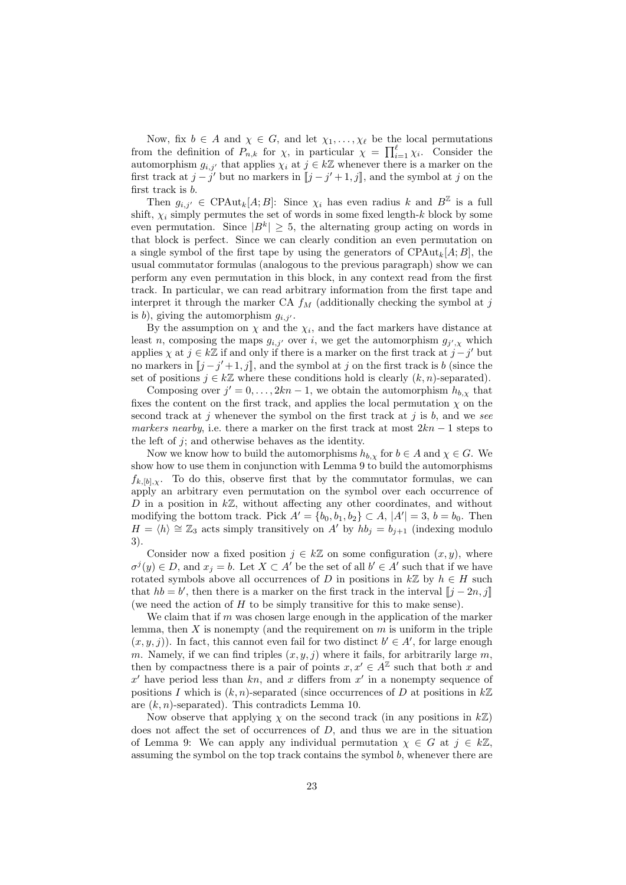Now, fix  $b \in A$  and  $\chi \in G$ , and let  $\chi_1, \ldots, \chi_\ell$  be the local permutations from the definition of  $P_{n,k}$  for  $\chi$ , in particular  $\chi = \prod_{i=1}^{\ell} \chi_i$ . Consider the automorphism  $g_{i,j'}$  that applies  $\chi_i$  at  $j \in k\mathbb{Z}$  whenever there is a marker on the first track at  $j - j'$  but no markers in  $[[j - j' + 1, j]]$ , and the symbol at j on the first track is b.

Then  $g_{i,j'} \in \text{CPAut}_k[A;B]$ : Since  $\chi_i$  has even radius k and  $B^{\mathbb{Z}}$  is a full shift,  $\chi_i$  simply permutes the set of words in some fixed length-k block by some even permutation. Since  $|B^k| \geq 5$ , the alternating group acting on words in that block is perfect. Since we can clearly condition an even permutation on a single symbol of the first tape by using the generators of  $CPAut_k[A;B]$ , the usual commutator formulas (analogous to the previous paragraph) show we can perform any even permutation in this block, in any context read from the first track. In particular, we can read arbitrary information from the first tape and interpret it through the marker CA  $f_M$  (additionally checking the symbol at j is b), giving the automorphism  $g_{i,j'}$ .

By the assumption on  $\chi$  and the  $\chi_i$ , and the fact markers have distance at least n, composing the maps  $g_{i,j'}$  over i, we get the automorphism  $g_{j',\chi}$  which applies  $\chi$  at  $j \in k\mathbb{Z}$  if and only if there is a marker on the first track at  $j - j'$  but no markers in  $[j-j'+1,j]$ , and the symbol at j on the first track is b (since the set of positions  $j \in k\mathbb{Z}$  where these conditions hold is clearly  $(k,n)$  congrated) set of positions  $j \in k\mathbb{Z}$  where these conditions hold is clearly  $(k, n)$ -separated).

Composing over  $j' = 0, \ldots, 2kn - 1$ , we obtain the automorphism  $h_{b,\chi}$  that fixes the content on the first track, and applies the local permutation  $\chi$  on the second track at j whenever the symbol on the first track at j is b, and we see markers nearby, i.e. there a marker on the first track at most  $2kn - 1$  steps to the left of  $j$ ; and otherwise behaves as the identity.

Now we know how to build the automorphisms  $h_{b,\chi}$  for  $b \in A$  and  $\chi \in G$ . We show how to use them in conjunction with Lemma 9 to build the automorphisms  $f_{k,[b],\chi}$ . To do this, observe first that by the commutator formulas, we can apply an arbitrary even permutation on the symbol over each occurrence of D in a position in  $k\mathbb{Z}$ , without affecting any other coordinates, and without modifying the bottom track. Pick  $A' = \{b_0, b_1, b_2\} \subset A$ ,  $|A'| = 3$ ,  $b = b_0$ . Then  $H = \langle h \rangle \cong \mathbb{Z}_3$  acts simply transitively on A' by  $h b_i = b_{i+1}$  (indexing modulo 3).

Consider now a fixed position  $j \in k\mathbb{Z}$  on some configuration  $(x, y)$ , where  $\sigma^{j}(y) \in D$ , and  $x_{j} = b$ . Let  $X \subset A'$  be the set of all  $b' \in A'$  such that if we have rotated symbols above all occurrences of D in positions in  $k\mathbb{Z}$  by  $h \in H$  such that  $hb = b'$ , then there is a marker on the first track in the interval  $[[j - 2n, j]]$ <br>(we need the ection of H to be simply transitive for this to make sense) (we need the action of  $H$  to be simply transitive for this to make sense).

We claim that if  $m$  was chosen large enough in the application of the marker lemma, then  $X$  is nonempty (and the requirement on  $m$  is uniform in the triple  $(x, y, j)$ ). In fact, this cannot even fail for two distinct  $b' \in A'$ , for large enough m. Namely, if we can find triples  $(x, y, j)$  where it fails, for arbitrarily large m, then by compactness there is a pair of points  $x, x' \in A^{\mathbb{Z}}$  such that both x and  $x'$  have period less than  $kn$ , and x differs from  $x'$  in a nonempty sequence of positions I which is  $(k, n)$ -separated (since occurrences of D at positions in  $k\mathbb{Z}$ are  $(k, n)$ -separated). This contradicts Lemma 10.

Now observe that applying  $\chi$  on the second track (in any positions in  $k\mathbb{Z}$ ) does not affect the set of occurrences of D, and thus we are in the situation of Lemma 9: We can apply any individual permutation  $\chi \in G$  at  $j \in k\mathbb{Z}$ , assuming the symbol on the top track contains the symbol  $b$ , whenever there are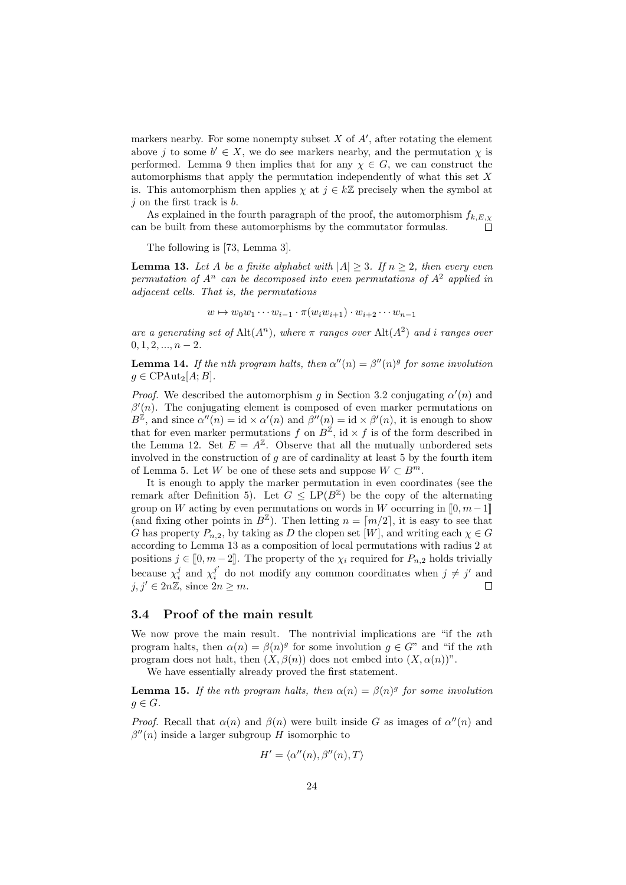markers nearby. For some nonempty subset  $X$  of  $A'$ , after rotating the element above j to some  $b' \in X$ , we do see markers nearby, and the permutation  $\chi$  is performed. Lemma 9 then implies that for any  $\chi \in G$ , we can construct the automorphisms that apply the permutation independently of what this set  $X$ is. This automorphism then applies  $\chi$  at  $j \in k\mathbb{Z}$  precisely when the symbol at  $j$  on the first track is  $b$ .

As explained in the fourth paragraph of the proof, the automorphism  $f_{k,E,\chi}$ can be built from these automorphisms by the commutator formulas.

The following is [73, Lemma 3].

**Lemma 13.** Let A be a finite alphabet with  $|A| \geq 3$ . If  $n \geq 2$ , then every even permutation of  $A^n$  can be decomposed into even permutations of  $A^2$  applied in adjacent cells. That is, the permutations

$$
w \mapsto w_0w_1\cdots w_{i-1}\cdot \pi(w_iw_{i+1})\cdot w_{i+2}\cdots w_{n-1}
$$

are a generating set of  $\text{Alt}(A^n)$ , where  $\pi$  ranges over  $\text{Alt}(A^2)$  and i ranges over  $0, 1, 2, \ldots, n-2.$ 

**Lemma 14.** If the nth program halts, then  $\alpha''(n) = \beta''(n)^g$  for some involution  $g \in \text{CPAut}_2[A;B].$ 

*Proof.* We described the automorphism g in Section 3.2 conjugating  $\alpha'(n)$  and  $\beta'(n)$ . The conjugating element is composed of even marker permutations on  $B^{\mathbb{Z}}$ , and since  $\alpha''(n) = id \times \alpha'(n)$  and  $\beta''(n) = id \times \beta'(n)$ , it is enough to show that for even marker permutations f on  $B^{\mathbb{Z}}$ , id  $\times$  f is of the form described in the Lemma 12. Set  $E = A^{\mathbb{Z}}$ . Observe that all the mutually unbordered sets involved in the construction of  $q$  are of cardinality at least 5 by the fourth item of Lemma 5. Let W be one of these sets and suppose  $W \subset B^m$ .

It is enough to apply the marker permutation in even coordinates (see the remark after Definition 5). Let  $G \leq \text{LP}(B^{\mathbb{Z}})$  be the copy of the alternating group on W acting by even permutations on words in W occurring in  $[0, m-1]$ (and fixing other points in  $B^{\mathbb{Z}}$ ). Then letting  $n = \lceil m/2 \rceil$ , it is easy to see that G has property  $P_{n,2}$ , by taking as D the clopen set [W], and writing each  $\chi \in G$ according to Lemma 13 as a composition of local permutations with radius 2 at positions  $j \in [0, m-2]$ . The property of the  $\chi_i$  required for  $P_{n,2}$  holds trivially because  $\chi_i^j$  and  $\chi_i^{j'}$  $j'_{i}$  do not modify any common coordinates when  $j \neq j'$  and  $j, j' \in 2n\mathbb{Z}$ , since  $2n \geq m$ .  $\Box$ 

### 3.4 Proof of the main result

We now prove the main result. The nontrivial implications are "if the *n*th program halts, then  $\alpha(n) = \beta(n)^g$  for some involution  $g \in G^m$  and "if the nth program does not halt, then  $(X, \beta(n))$  does not embed into  $(X, \alpha(n))$ ".

We have essentially already proved the first statement.

**Lemma 15.** If the nth program halts, then  $\alpha(n) = \beta(n)^g$  for some involution  $g \in G$ .

*Proof.* Recall that  $\alpha(n)$  and  $\beta(n)$  were built inside G as images of  $\alpha''(n)$  and  $\beta''(n)$  inside a larger subgroup H isomorphic to

$$
H' = \langle \alpha''(n), \beta''(n), T \rangle
$$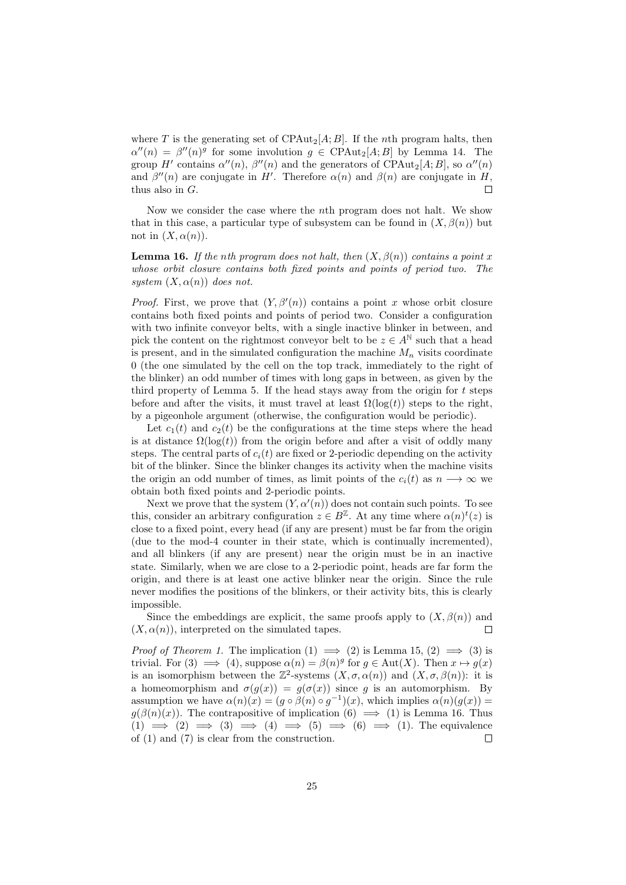where T is the generating set of CPAut<sub>2</sub>[A; B]. If the nth program halts, then  $\alpha''(n) = \beta''(n)$ <sup>g</sup> for some involution  $g \in \text{CPAut}_2[A;B]$  by Lemma 14. The group H' contains  $\alpha''(n)$ ,  $\beta''(n)$  and the generators of CPAut<sub>2</sub>[A; B], so  $\alpha''(n)$ and  $\beta''(n)$  are conjugate in H'. Therefore  $\alpha(n)$  and  $\beta(n)$  are conjugate in H, thus also in G.  $\Box$ 

Now we consider the case where the nth program does not halt. We show that in this case, a particular type of subsystem can be found in  $(X, \beta(n))$  but not in  $(X, \alpha(n))$ .

**Lemma 16.** If the nth program does not halt, then  $(X, \beta(n))$  contains a point x whose orbit closure contains both fixed points and points of period two. The system  $(X, \alpha(n))$  does not.

*Proof.* First, we prove that  $(Y, \beta'(n))$  contains a point x whose orbit closure contains both fixed points and points of period two. Consider a configuration with two infinite conveyor belts, with a single inactive blinker in between, and pick the content on the rightmost conveyor belt to be  $z \in A^{\mathbb{N}}$  such that a head is present, and in the simulated configuration the machine  $M_n$  visits coordinate 0 (the one simulated by the cell on the top track, immediately to the right of the blinker) an odd number of times with long gaps in between, as given by the third property of Lemma 5. If the head stays away from the origin for  $t$  steps before and after the visits, it must travel at least  $\Omega(\log(t))$  steps to the right, by a pigeonhole argument (otherwise, the configuration would be periodic).

Let  $c_1(t)$  and  $c_2(t)$  be the configurations at the time steps where the head is at distance  $\Omega(\log(t))$  from the origin before and after a visit of oddly many steps. The central parts of  $c_i(t)$  are fixed or 2-periodic depending on the activity bit of the blinker. Since the blinker changes its activity when the machine visits the origin an odd number of times, as limit points of the  $c_i(t)$  as  $n \longrightarrow \infty$  we obtain both fixed points and 2-periodic points.

Next we prove that the system  $(Y, \alpha'(n))$  does not contain such points. To see this, consider an arbitrary configuration  $z \in B^{\mathbb{Z}}$ . At any time where  $\alpha(n)^{t}(z)$  is close to a fixed point, every head (if any are present) must be far from the origin (due to the mod-4 counter in their state, which is continually incremented), and all blinkers (if any are present) near the origin must be in an inactive state. Similarly, when we are close to a 2-periodic point, heads are far form the origin, and there is at least one active blinker near the origin. Since the rule never modifies the positions of the blinkers, or their activity bits, this is clearly impossible.

Since the embeddings are explicit, the same proofs apply to  $(X, \beta(n))$  and  $(X, \alpha(n))$ , interpreted on the simulated tapes.  $\Box$ 

*Proof of Theorem 1.* The implication  $(1) \implies (2)$  is Lemma 15,  $(2) \implies (3)$  is trivial. For (3)  $\implies$  (4), suppose  $\alpha(n) = \beta(n)^g$  for  $g \in \text{Aut}(X)$ . Then  $x \mapsto g(x)$ is an isomorphism between the  $\mathbb{Z}^2$ -systems  $(X, \sigma, \alpha(n))$  and  $(X, \sigma, \beta(n))$ : it is a homeomorphism and  $\sigma(g(x)) = g(\sigma(x))$  since g is an automorphism. By assumption we have  $\alpha(n)(x) = (g \circ \beta(n) \circ g^{-1})(x)$ , which implies  $\alpha(n)(g(x)) =$  $q(\beta(n)(x))$ . The contrapositive of implication  $(6) \implies (1)$  is Lemma 16. Thus  $(1) \implies (2) \implies (3) \implies (4) \implies (5) \implies (6) \implies (1)$ . The equivalence of (1) and (7) is clear from the construction. П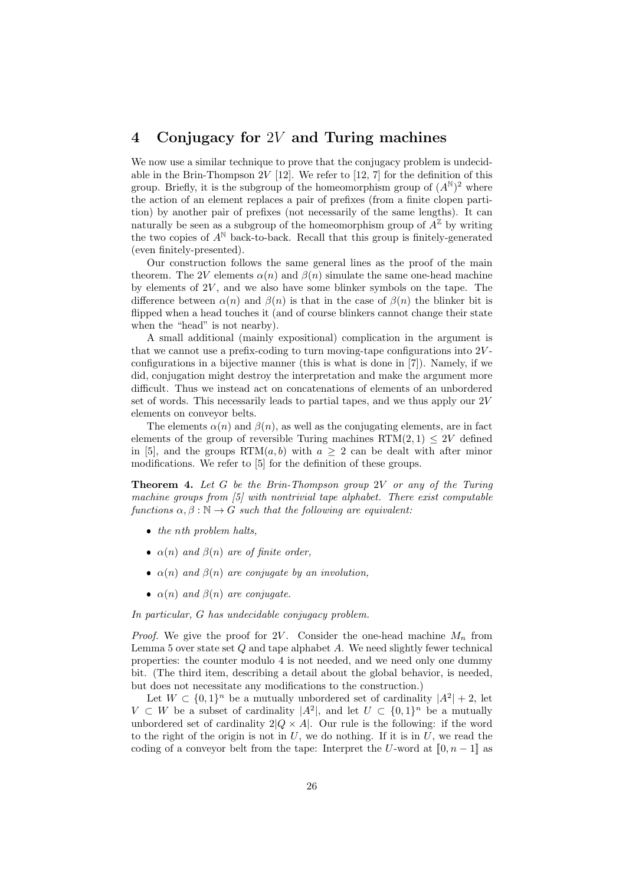## 4 Conjugacy for 2V and Turing machines

We now use a similar technique to prove that the conjugacy problem is undecidable in the Brin-Thompson  $2V$  [12]. We refer to [12, 7] for the definition of this group. Briefly, it is the subgroup of the homeomorphism group of  $(A^{\mathbb{N}})^2$  where the action of an element replaces a pair of prefixes (from a finite clopen partition) by another pair of prefixes (not necessarily of the same lengths). It can naturally be seen as a subgroup of the homeomorphism group of  $A^{\mathbb{Z}}$  by writing the two copies of  $A^{\mathbb{N}}$  back-to-back. Recall that this group is finitely-generated (even finitely-presented).

Our construction follows the same general lines as the proof of the main theorem. The 2V elements  $\alpha(n)$  and  $\beta(n)$  simulate the same one-head machine by elements of  $2V$ , and we also have some blinker symbols on the tape. The difference between  $\alpha(n)$  and  $\beta(n)$  is that in the case of  $\beta(n)$  the blinker bit is flipped when a head touches it (and of course blinkers cannot change their state when the "head" is not nearby).

A small additional (mainly expositional) complication in the argument is that we cannot use a prefix-coding to turn moving-tape configurations into  $2V$ configurations in a bijective manner (this is what is done in [7]). Namely, if we did, conjugation might destroy the interpretation and make the argument more difficult. Thus we instead act on concatenations of elements of an unbordered set of words. This necessarily leads to partial tapes, and we thus apply our  $2V$ elements on conveyor belts.

The elements  $\alpha(n)$  and  $\beta(n)$ , as well as the conjugating elements, are in fact elements of the group of reversible Turing machines  $\operatorname{RTM}(2,1) \leq 2V$  defined in [5], and the groups RTM $(a, b)$  with  $a \geq 2$  can be dealt with after minor modifications. We refer to [5] for the definition of these groups.

**Theorem 4.** Let  $G$  be the Brin-Thompson group  $2V$  or any of the Turing machine groups from  $[5]$  with nontrivial tape alphabet. There exist computable functions  $\alpha, \beta : \mathbb{N} \to G$  such that the following are equivalent:

- $\bullet$  the nth problem halts,
- $\alpha(n)$  and  $\beta(n)$  are of finite order,
- $\alpha(n)$  and  $\beta(n)$  are conjugate by an involution,
- $\alpha(n)$  and  $\beta(n)$  are conjugate.

In particular, G has undecidable conjugacy problem.

*Proof.* We give the proof for 2V. Consider the one-head machine  $M_n$  from Lemma 5 over state set  $Q$  and tape alphabet  $A$ . We need slightly fewer technical properties: the counter modulo 4 is not needed, and we need only one dummy bit. (The third item, describing a detail about the global behavior, is needed, but does not necessitate any modifications to the construction.)

Let  $W \subset \{0,1\}^n$  be a mutually unbordered set of cardinality  $|A^2| + 2$ , let  $V \subset W$  be a subset of cardinality  $|A^2|$ , and let  $U \subset \{0,1\}^n$  be a mutually unbordered set of cardinality  $2|Q \times A|$ . Our rule is the following: if the word to the right of the origin is not in  $U$ , we do nothing. If it is in  $U$ , we read the coding of a conveyor belt from the tape: Interpret the U-word at  $[0, n-1]$  as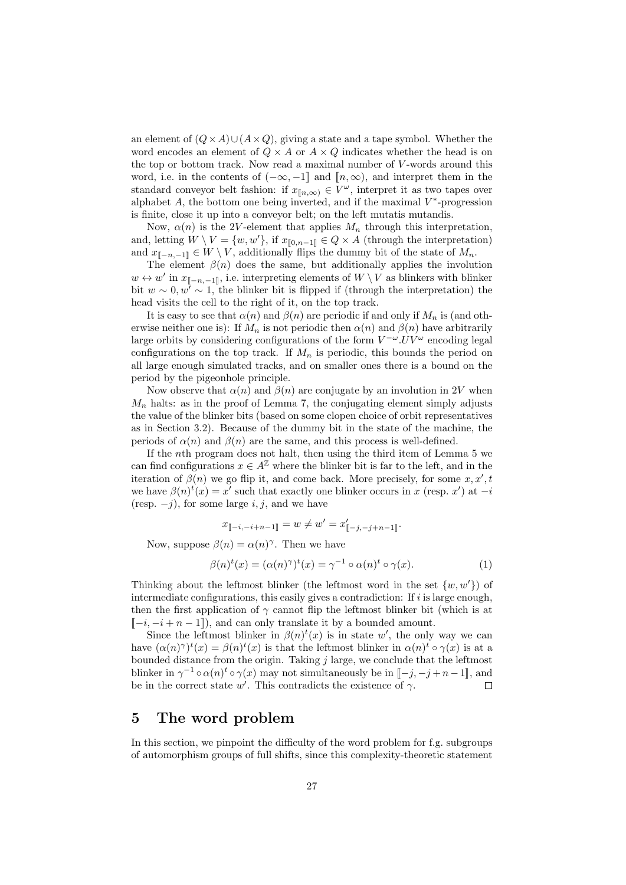an element of  $(Q \times A) \cup (A \times Q)$ , giving a state and a tape symbol. Whether the word encodes an element of  $Q \times A$  or  $A \times Q$  indicates whether the head is on the top or bottom track. Now read a maximal number of V -words around this word, i.e. in the contents of  $(-\infty, -1]$  and  $[n, \infty)$ , and interpret them in the standard conveyor belt fashion: if  $x_{\llbracket n,\infty\rbrace} \in V^{\omega}$ , interpret it as two tapes over alphabet  $A$ , the bottom one being inverted, and if the maximal  $V^*$ -progression is finite, close it up into a conveyor belt; on the left mutatis mutandis.

Now,  $\alpha(n)$  is the 2V-element that applies  $M_n$  through this interpretation, and, letting  $W \setminus V = \{w, w'\}$ , if  $x_{\llbracket 0, n-1 \rrbracket} \in Q \times A$  (through the interpretation) and  $x_{\mathbb{I} - n,-1} \in W \setminus V$ , additionally flips the dummy bit of the state of  $M_n$ .

The element  $\beta(n)$  does the same, but additionally applies the involution  $w \leftrightarrow w'$  in  $x_{\llbracket -n,-1\rrbracket}$ , i.e. interpreting elements of  $W \setminus V$  as blinkers with blinker bit  $w \sim 0, w^7 \sim 1$ , the blinker bit is flipped if (through the interpretation) the head visits the cell to the right of it, on the top track.

It is easy to see that  $\alpha(n)$  and  $\beta(n)$  are periodic if and only if  $M_n$  is (and otherwise neither one is): If  $M_n$  is not periodic then  $\alpha(n)$  and  $\beta(n)$  have arbitrarily large orbits by considering configurations of the form  $V^{-\omega}$ . UV $^{\omega}$  encoding legal configurations on the top track. If  $M_n$  is periodic, this bounds the period on all large enough simulated tracks, and on smaller ones there is a bound on the period by the pigeonhole principle.

Now observe that  $\alpha(n)$  and  $\beta(n)$  are conjugate by an involution in 2V when  $M_n$  halts: as in the proof of Lemma 7, the conjugating element simply adjusts the value of the blinker bits (based on some clopen choice of orbit representatives as in Section 3.2). Because of the dummy bit in the state of the machine, the periods of  $\alpha(n)$  and  $\beta(n)$  are the same, and this process is well-defined.

If the nth program does not halt, then using the third item of Lemma 5 we can find configurations  $x \in A^{\mathbb{Z}}$  where the blinker bit is far to the left, and in the iteration of  $\beta(n)$  we go flip it, and come back. More precisely, for some  $x, x', t$ we have  $\beta(n)^t(x) = x'$  such that exactly one blinker occurs in x (resp. x') at  $-i$ (resp.  $-j$ ), for some large *i*, *j*, and we have

$$
x_{\llbracket -i, -i+n-1 \rrbracket} = w \neq w' = x'_{\llbracket -j, -j+n-1 \rrbracket}.
$$

Now, suppose  $\beta(n) = \alpha(n)^\gamma$ . Then we have

$$
\beta(n)^{t}(x) = (\alpha(n)^{\gamma})^{t}(x) = \gamma^{-1} \circ \alpha(n)^{t} \circ \gamma(x).
$$
\n(1)

Thinking about the leftmost blinker (the leftmost word in the set  $\{w, w'\}$ ) of intermediate configurations, this easily gives a contradiction: If  $i$  is large enough, then the first application of  $\gamma$  cannot flip the leftmost blinker bit (which is at  $\lbrack -i, -i +n-1 \rbrack$ , and can only translate it by a bounded amount.

Since the leftmost blinker in  $\beta(n)^t(x)$  is in state w', the only way we can have  $(\alpha(n)^{\gamma})^t(x) = \beta(n)^t(x)$  is that the leftmost blinker in  $\alpha(n)^t \circ \gamma(x)$  is at a bounded distance from the origin. Taking  $j$  large, we conclude that the leftmost blinker in  $\gamma^{-1} \circ \alpha(n)^t \circ \gamma(x)$  may not simultaneously be in  $[-j, -j +n-1]$ , and be in the correct state w'. This contradicts the existence of  $\gamma$ .

## 5 The word problem

In this section, we pinpoint the difficulty of the word problem for f.g. subgroups of automorphism groups of full shifts, since this complexity-theoretic statement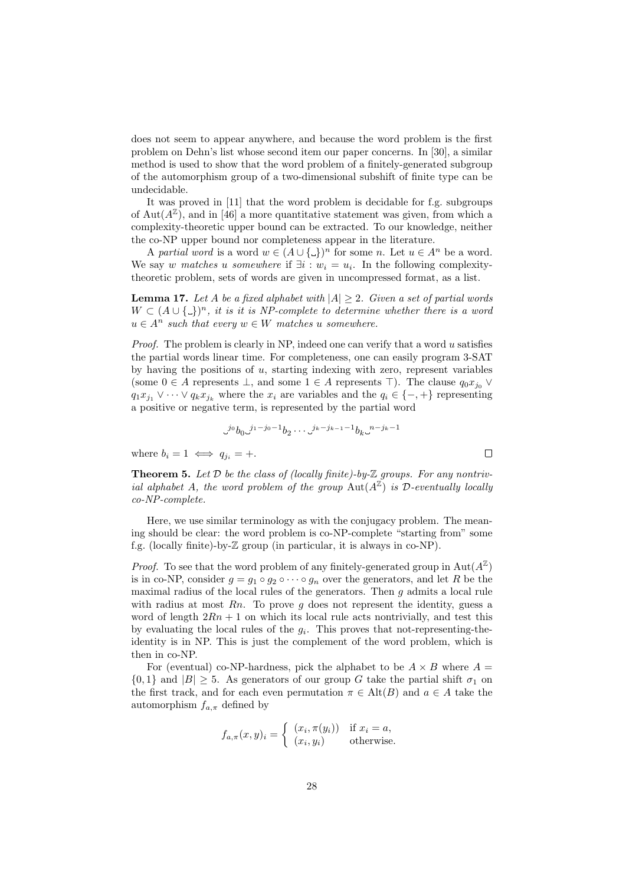does not seem to appear anywhere, and because the word problem is the first problem on Dehn's list whose second item our paper concerns. In [30], a similar method is used to show that the word problem of a finitely-generated subgroup of the automorphism group of a two-dimensional subshift of finite type can be undecidable.

It was proved in [11] that the word problem is decidable for f.g. subgroups of Aut $(A^{\mathbb{Z}})$ , and in [46] a more quantitative statement was given, from which a complexity-theoretic upper bound can be extracted. To our knowledge, neither the co-NP upper bound nor completeness appear in the literature.

A partial word is a word  $w \in (A \cup \{\_ \})^n$  for some n. Let  $u \in A^n$  be a word. We say w matches u somewhere if  $\exists i : w_i = u_i$ . In the following complexitytheoretic problem, sets of words are given in uncompressed format, as a list.

**Lemma 17.** Let A be a fixed alphabet with  $|A| \geq 2$ . Given a set of partial words  $W \subset (A \cup \{\_ \})^n$ , it is it is NP-complete to determine whether there is a word  $u \in A^n$  such that every  $w \in W$  matches u somewhere.

*Proof.* The problem is clearly in NP, indeed one can verify that a word u satisfies the partial words linear time. For completeness, one can easily program 3-SAT by having the positions of  $u$ , starting indexing with zero, represent variables (some  $0 \in A$  represents  $\perp$ , and some  $1 \in A$  represents  $\top$ ). The clause  $q_0x_{j_0} \vee$  $q_1x_{j_1} \vee \cdots \vee q_kx_{j_k}$  where the  $x_i$  are variables and the  $q_i \in \{-,+\}$  representing a positive or negative term, is represented by the partial word

$$
\cup^{j_0} b_0 \cup^{j_1-j_0-1} b_2 \cdots \cup^{j_k-j_{k-1}-1} b_k \cup^{n-j_k-1}
$$

 $\Box$ 

where  $b_i = 1 \iff q_{i_i} = +$ .

**Theorem 5.** Let  $\mathcal D$  be the class of (locally finite)-by- $\mathbb Z$  groups. For any nontrivial alphabet A, the word problem of the group  $\text{Aut}(A^{\mathbb{Z}})$  is D-eventually locally co-NP-complete.

Here, we use similar terminology as with the conjugacy problem. The meaning should be clear: the word problem is co-NP-complete "starting from" some f.g. (locally finite)-by-Z group (in particular, it is always in co-NP).

*Proof.* To see that the word problem of any finitely-generated group in  $\text{Aut}(A^{\mathbb{Z}})$ is in co-NP, consider  $g = g_1 \circ g_2 \circ \cdots \circ g_n$  over the generators, and let R be the maximal radius of the local rules of the generators. Then  $g$  admits a local rule with radius at most  $R_n$ . To prove q does not represent the identity, guess a word of length  $2Rn + 1$  on which its local rule acts nontrivially, and test this by evaluating the local rules of the  $g_i$ . This proves that not-representing-theidentity is in NP. This is just the complement of the word problem, which is then in co-NP.

For (eventual) co-NP-hardness, pick the alphabet to be  $A \times B$  where  $A =$  $\{0,1\}$  and  $|B| \geq 5$ . As generators of our group G take the partial shift  $\sigma_1$  on the first track, and for each even permutation  $\pi \in \text{Alt}(B)$  and  $a \in A$  take the automorphism  $f_{a,\pi}$  defined by

$$
f_{a,\pi}(x,y)_i = \begin{cases} (x_i, \pi(y_i)) & \text{if } x_i = a, \\ (x_i, y_i) & \text{otherwise.} \end{cases}
$$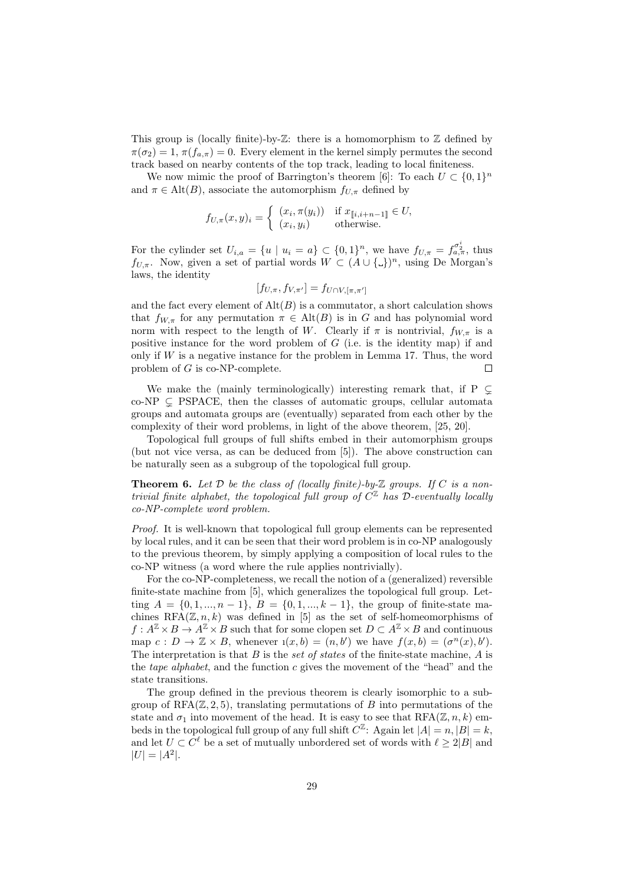This group is (locally finite)-by- $\mathbb{Z}$ : there is a homomorphism to  $\mathbb Z$  defined by  $\pi(\sigma_2) = 1, \pi(f_{a,\pi}) = 0$ . Every element in the kernel simply permutes the second track based on nearby contents of the top track, leading to local finiteness.

We now mimic the proof of Barrington's theorem [6]: To each  $U \subset \{0,1\}^n$ and  $\pi \in \text{Alt}(B)$ , associate the automorphism  $f_{U,\pi}$  defined by

$$
f_{U,\pi}(x,y)_i = \begin{cases} (x_i, \pi(y_i)) & \text{if } x_{[\![i,i+n-1]\!]} \in U, \\ (x_i, y_i) & \text{otherwise.} \end{cases}
$$

For the cylinder set  $U_{i,a} = \{u \mid u_i = a\} \subset \{0,1\}^n$ , we have  $f_{U,\pi} = f_{a,\pi}^{\sigma_a^i}$ , thus  $f_{U,\pi}$ . Now, given a set of partial words  $W \subset (A \cup \{\_ \})^n$ , using De Morgan's laws, the identity

$$
[f_{U,\pi}, f_{V,\pi'}] = f_{U \cap V, [\pi, \pi']}
$$

and the fact every element of  $\mathrm{Alt}(B)$  is a commutator, a short calculation shows that  $f_{W,\pi}$  for any permutation  $\pi \in \text{Alt}(B)$  is in G and has polynomial word norm with respect to the length of W. Clearly if  $\pi$  is nontrivial,  $f_{W,\pi}$  is a positive instance for the word problem of  $G$  (i.e. is the identity map) if and only if  $W$  is a negative instance for the problem in Lemma 17. Thus, the word problem of  $G$  is co-NP-complete. г

We make the (mainly terminologically) interesting remark that, if  $P \subseteq$  $co-NP \subseteq PSPACE$ , then the classes of automatic groups, cellular automata groups and automata groups are (eventually) separated from each other by the complexity of their word problems, in light of the above theorem, [25, 20].

Topological full groups of full shifts embed in their automorphism groups (but not vice versa, as can be deduced from [5]). The above construction can be naturally seen as a subgroup of the topological full group.

**Theorem 6.** Let  $D$  be the class of (locally finite)-by- $\mathbb Z$  groups. If  $C$  is a nontrivial finite alphabet, the topological full group of  $C^{\mathbb{Z}}$  has  $\mathcal{D}$ -eventually locally co-NP-complete word problem.

Proof. It is well-known that topological full group elements can be represented by local rules, and it can be seen that their word problem is in co-NP analogously to the previous theorem, by simply applying a composition of local rules to the co-NP witness (a word where the rule applies nontrivially).

For the co-NP-completeness, we recall the notion of a (generalized) reversible finite-state machine from [5], which generalizes the topological full group. Letting  $A = \{0, 1, ..., n-1\}, B = \{0, 1, ..., k-1\},$  the group of finite-state machines  $RFA(\mathbb{Z}, n, k)$  was defined in [5] as the set of self-homeomorphisms of  $f: A^{\mathbb{Z}} \times B \to A^{\mathbb{Z}} \times B$  such that for some clopen set  $D \subset A^{\mathbb{Z}} \times B$  and continuous map  $c: D \to \mathbb{Z} \times B$ , whenever  $\iota(x, b) = (n, b')$  we have  $f(x, b) = (\sigma^n(x), b')$ . The interpretation is that  $B$  is the set of states of the finite-state machine,  $A$  is the *tape alphabet*, and the function  $c$  gives the movement of the "head" and the state transitions.

The group defined in the previous theorem is clearly isomorphic to a subgroup of RFA $(\mathbb{Z}, 2, 5)$ , translating permutations of B into permutations of the state and  $\sigma_1$  into movement of the head. It is easy to see that  $RFA(\mathbb{Z}, n, k)$  embeds in the topological full group of any full shift  $C^{\mathbb{Z}}$ : Again let  $|A| = n, |B| = k$ , and let  $U \subset C^{\ell}$  be a set of mutually unbordered set of words with  $\ell \geq 2|B|$  and  $|U| = |A^2|$ .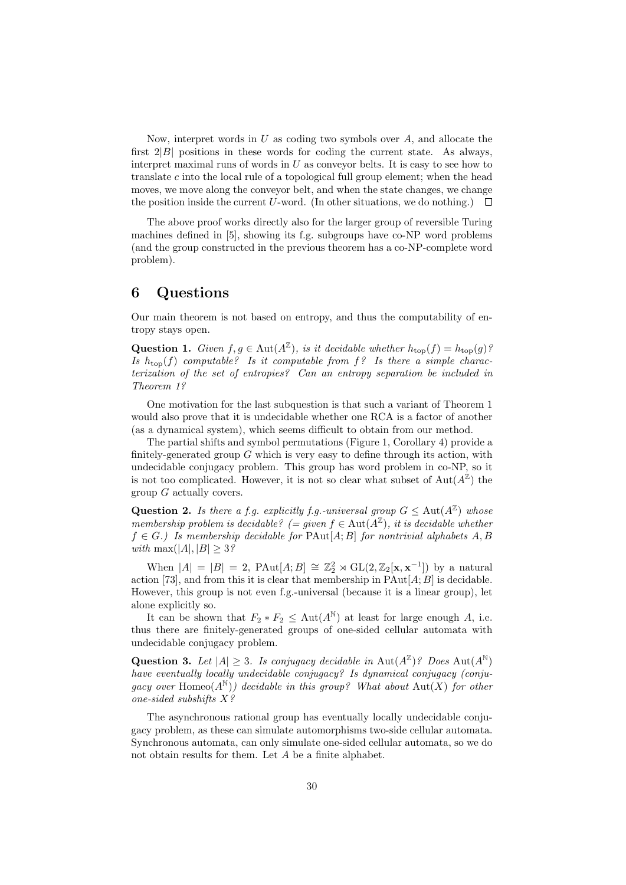Now, interpret words in  $U$  as coding two symbols over  $A$ , and allocate the first  $2|B|$  positions in these words for coding the current state. As always, interpret maximal runs of words in  $U$  as conveyor belts. It is easy to see how to translate c into the local rule of a topological full group element; when the head moves, we move along the conveyor belt, and when the state changes, we change the position inside the current U-word. (In other situations, we do nothing.)  $\Box$ 

The above proof works directly also for the larger group of reversible Turing machines defined in [5], showing its f.g. subgroups have co-NP word problems (and the group constructed in the previous theorem has a co-NP-complete word problem).

## 6 Questions

Our main theorem is not based on entropy, and thus the computability of entropy stays open.

**Question 1.** Given  $f, g \in \text{Aut}(A^{\mathbb{Z}})$ , is it decidable whether  $h_{\text{top}}(f) = h_{\text{top}}(g)$ ? Is  $h_{\text{top}}(f)$  computable? Is it computable from  $f$ ? Is there a simple characterization of the set of entropies? Can an entropy separation be included in Theorem 1?

One motivation for the last subquestion is that such a variant of Theorem 1 would also prove that it is undecidable whether one RCA is a factor of another (as a dynamical system), which seems difficult to obtain from our method.

The partial shifts and symbol permutations (Figure 1, Corollary 4) provide a finitely-generated group  $G$  which is very easy to define through its action, with undecidable conjugacy problem. This group has word problem in co-NP, so it is not too complicated. However, it is not so clear what subset of  $\text{Aut}(A^{\mathbb{Z}})$  the group G actually covers.

**Question 2.** Is there a f.g. explicitly f.g.-universal group  $G \leq \text{Aut}(A^{\mathbb{Z}})$  whose membership problem is decidable? (= given  $f \in \text{Aut}(\tilde{A}^{\mathbb{Z}})$ , it is decidable whether  $f \in G$ .) Is membership decidable for PAut[A; B] for nontrivial alphabets A, B with max(|A|,  $|B| \geq 3$ ?

When  $|A| = |B| = 2$ , PAut[ $A; B$ ]  $\cong \mathbb{Z}_2^2 \rtimes GL(2, \mathbb{Z}_2[\mathbf{x}, \mathbf{x}^{-1}])$  by a natural action [73], and from this it is clear that membership in  $\text{PAut}[A;B]$  is decidable. However, this group is not even f.g.-universal (because it is a linear group), let alone explicitly so.

It can be shown that  $F_2 * F_2 \leq \text{Aut}(A^{\mathbb{N}})$  at least for large enough A, i.e. thus there are finitely-generated groups of one-sided cellular automata with undecidable conjugacy problem.

**Question 3.** Let  $|A| \geq 3$ . Is conjugacy decidable in Aut $(A^{\mathbb{Z}})$ ? Does Aut $(A^{\mathbb{N}})$ have eventually locally undecidable conjugacy? Is dynamical conjugacy (conjugacy over Homeo $(A^{\mathbb{N}})$ ) decidable in this group? What about  $Aut(X)$  for other one-sided subshifts X?

The asynchronous rational group has eventually locally undecidable conjugacy problem, as these can simulate automorphisms two-side cellular automata. Synchronous automata, can only simulate one-sided cellular automata, so we do not obtain results for them. Let A be a finite alphabet.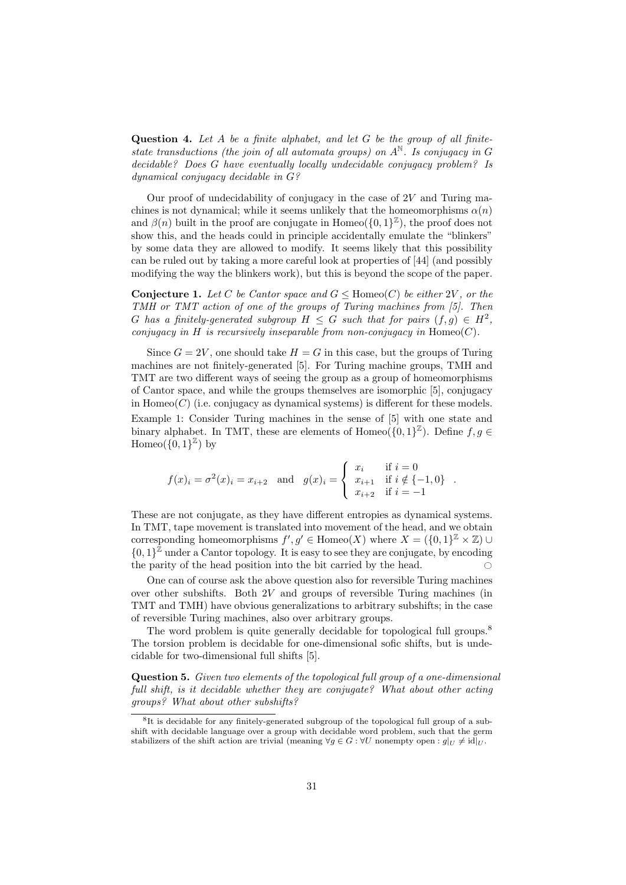Question 4. Let  $A$  be a finite alphabet, and let  $G$  be the group of all finitestate transductions (the join of all automata groups) on  $A^{\mathbb{N}}$ . Is conjugacy in G decidable? Does G have eventually locally undecidable conjugacy problem? Is dynamical conjugacy decidable in G?

Our proof of undecidability of conjugacy in the case of  $2V$  and Turing machines is not dynamical; while it seems unlikely that the homeomorphisms  $\alpha(n)$ and  $\beta(n)$  built in the proof are conjugate in Homeo( $\{0,1\}^{\mathbb{Z}}$ ), the proof does not show this, and the heads could in principle accidentally emulate the "blinkers" by some data they are allowed to modify. It seems likely that this possibility can be ruled out by taking a more careful look at properties of [44] (and possibly modifying the way the blinkers work), but this is beyond the scope of the paper.

**Conjecture 1.** Let C be Cantor space and  $G \leq \text{Homeo}(C)$  be either 2V, or the TMH or TMT action of one of the groups of Turing machines from [5]. Then G has a finitely-generated subgroup  $H \leq G$  such that for pairs  $(f,g) \in H^2$ , conjugacy in H is recursively inseparable from non-conjugacy in  $Homeo(C)$ .

Since  $G = 2V$ , one should take  $H = G$  in this case, but the groups of Turing machines are not finitely-generated [5]. For Turing machine groups, TMH and TMT are two different ways of seeing the group as a group of homeomorphisms of Cantor space, and while the groups themselves are isomorphic [5], conjugacy in  $Homeo(C)$  (i.e. conjugacy as dynamical systems) is different for these models. Example 1: Consider Turing machines in the sense of [5] with one state and binary alphabet. In TMT, these are elements of Homeo( $\{0,1\}^{\mathbb{Z}}$ ). Define  $f, g \in$  $Homeo({0,1}^{\mathbb{Z}})$  by

$$
f(x)_i = \sigma^2(x)_i = x_{i+2} \text{ and } g(x)_i = \begin{cases} x_i & \text{if } i = 0 \\ x_{i+1} & \text{if } i \notin \{-1, 0\} \\ x_{i+2} & \text{if } i = -1 \end{cases}.
$$

These are not conjugate, as they have different entropies as dynamical systems. In TMT, tape movement is translated into movement of the head, and we obtain corresponding homeomorphisms  $f', g' \in \text{Homeo}(X)$  where  $X = (\{0, 1\}^{\mathbb{Z}} \times \mathbb{Z})$  ∪  $\{0,1\}^{\mathbb{Z}}$  under a Cantor topology. It is easy to see they are conjugate, by encoding the parity of the head position into the bit carried by the head.  $\bigcirc$ 

One can of course ask the above question also for reversible Turing machines over other subshifts. Both  $2V$  and groups of reversible Turing machines (in TMT and TMH) have obvious generalizations to arbitrary subshifts; in the case of reversible Turing machines, also over arbitrary groups.

The word problem is quite generally decidable for topological full groups.<sup>8</sup> The torsion problem is decidable for one-dimensional sofic shifts, but is undecidable for two-dimensional full shifts [5].

Question 5. Given two elements of the topological full group of a one-dimensional full shift, is it decidable whether they are conjugate? What about other acting groups? What about other subshifts?

<sup>8</sup> It is decidable for any finitely-generated subgroup of the topological full group of a subshift with decidable language over a group with decidable word problem, such that the germ stabilizers of the shift action are trivial (meaning  $\forall g \in G : \forall U$  nonempty open :  $g|_U \neq id|_U$ .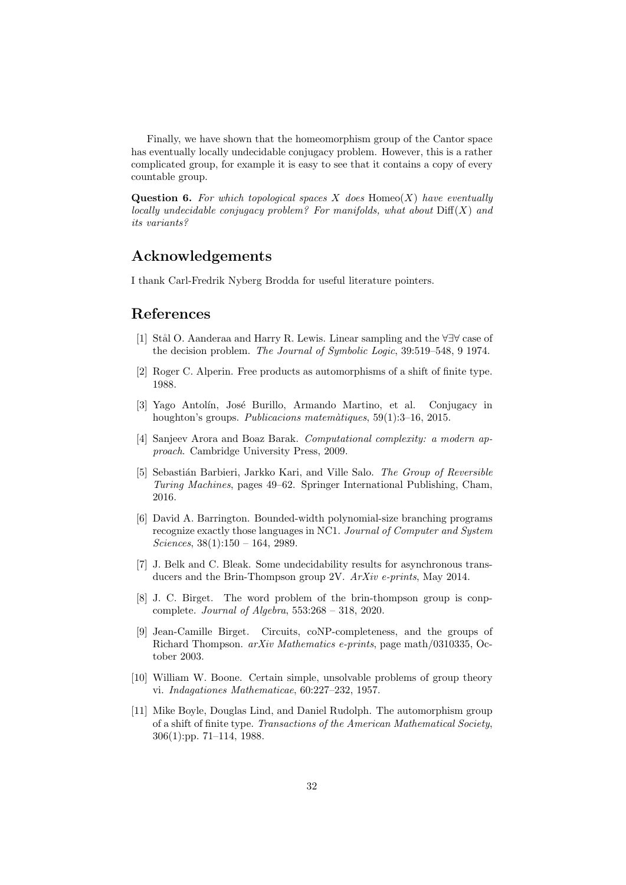Finally, we have shown that the homeomorphism group of the Cantor space has eventually locally undecidable conjugacy problem. However, this is a rather complicated group, for example it is easy to see that it contains a copy of every countable group.

**Question 6.** For which topological spaces X does  $Hom_{\mathcal{O}}(X)$  have eventually locally undecidable conjugacy problem? For manifolds, what about  $\text{Diff}(X)$  and its variants?

## Acknowledgements

I thank Carl-Fredrik Nyberg Brodda for useful literature pointers.

## References

- [1] Stål O. Aanderaa and Harry R. Lewis. Linear sampling and the ∀∃∀ case of the decision problem. The Journal of Symbolic Logic, 39:519–548, 9 1974.
- [2] Roger C. Alperin. Free products as automorphisms of a shift of finite type. 1988.
- [3] Yago Antolín, José Burillo, Armando Martino, et al. Conjugacy in houghton's groups. Publicacions matemàtiques, 59(1):3–16, 2015.
- [4] Sanjeev Arora and Boaz Barak. Computational complexity: a modern approach. Cambridge University Press, 2009.
- [5] Sebastián Barbieri, Jarkko Kari, and Ville Salo. The Group of Reversible Turing Machines, pages 49–62. Springer International Publishing, Cham, 2016.
- [6] David A. Barrington. Bounded-width polynomial-size branching programs recognize exactly those languages in NC1. Journal of Computer and System Sciences,  $38(1):150 - 164$ , 2989.
- [7] J. Belk and C. Bleak. Some undecidability results for asynchronous transducers and the Brin-Thompson group 2V. ArXiv e-prints, May 2014.
- [8] J. C. Birget. The word problem of the brin-thompson group is conpcomplete. Journal of Algebra, 553:268 – 318, 2020.
- [9] Jean-Camille Birget. Circuits, coNP-completeness, and the groups of Richard Thompson. arXiv Mathematics e-prints, page math/0310335, October 2003.
- [10] William W. Boone. Certain simple, unsolvable problems of group theory vi. Indagationes Mathematicae, 60:227–232, 1957.
- [11] Mike Boyle, Douglas Lind, and Daniel Rudolph. The automorphism group of a shift of finite type. Transactions of the American Mathematical Society, 306(1):pp. 71–114, 1988.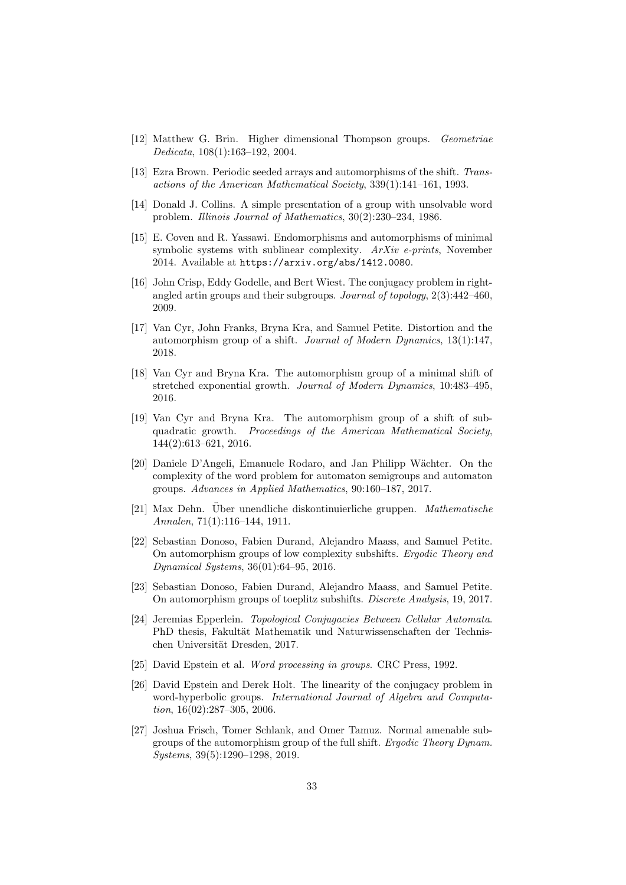- [12] Matthew G. Brin. Higher dimensional Thompson groups. Geometriae Dedicata, 108(1):163–192, 2004.
- [13] Ezra Brown. Periodic seeded arrays and automorphisms of the shift. Transactions of the American Mathematical Society, 339(1):141–161, 1993.
- [14] Donald J. Collins. A simple presentation of a group with unsolvable word problem. Illinois Journal of Mathematics, 30(2):230–234, 1986.
- [15] E. Coven and R. Yassawi. Endomorphisms and automorphisms of minimal symbolic systems with sublinear complexity.  $ArXiv$  e-prints, November 2014. Available at https://arxiv.org/abs/1412.0080.
- [16] John Crisp, Eddy Godelle, and Bert Wiest. The conjugacy problem in rightangled artin groups and their subgroups. Journal of topology, 2(3):442–460, 2009.
- [17] Van Cyr, John Franks, Bryna Kra, and Samuel Petite. Distortion and the automorphism group of a shift. Journal of Modern Dynamics, 13(1):147, 2018.
- [18] Van Cyr and Bryna Kra. The automorphism group of a minimal shift of stretched exponential growth. Journal of Modern Dynamics, 10:483–495, 2016.
- [19] Van Cyr and Bryna Kra. The automorphism group of a shift of subquadratic growth. Proceedings of the American Mathematical Society, 144(2):613–621, 2016.
- [20] Daniele D'Angeli, Emanuele Rodaro, and Jan Philipp W¨achter. On the complexity of the word problem for automaton semigroups and automaton groups. Advances in Applied Mathematics, 90:160–187, 2017.
- [21] Max Dehn. Uber unendliche diskontinuierliche gruppen. Mathematische Annalen, 71(1):116–144, 1911.
- [22] Sebastian Donoso, Fabien Durand, Alejandro Maass, and Samuel Petite. On automorphism groups of low complexity subshifts. Ergodic Theory and Dynamical Systems, 36(01):64–95, 2016.
- [23] Sebastian Donoso, Fabien Durand, Alejandro Maass, and Samuel Petite. On automorphism groups of toeplitz subshifts. Discrete Analysis, 19, 2017.
- [24] Jeremias Epperlein. Topological Conjugacies Between Cellular Automata. PhD thesis, Fakultät Mathematik und Naturwissenschaften der Technischen Universität Dresden, 2017.
- [25] David Epstein et al. Word processing in groups. CRC Press, 1992.
- [26] David Epstein and Derek Holt. The linearity of the conjugacy problem in word-hyperbolic groups. International Journal of Algebra and Computation, 16(02):287–305, 2006.
- [27] Joshua Frisch, Tomer Schlank, and Omer Tamuz. Normal amenable subgroups of the automorphism group of the full shift. Ergodic Theory Dynam. Systems, 39(5):1290–1298, 2019.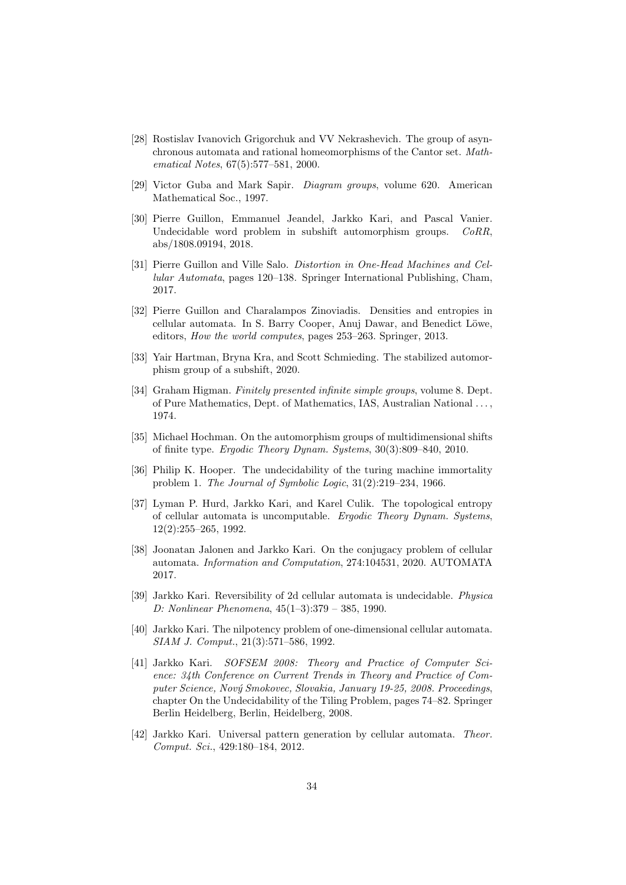- [28] Rostislav Ivanovich Grigorchuk and VV Nekrashevich. The group of asynchronous automata and rational homeomorphisms of the Cantor set. Mathematical Notes, 67(5):577–581, 2000.
- [29] Victor Guba and Mark Sapir. Diagram groups, volume 620. American Mathematical Soc., 1997.
- [30] Pierre Guillon, Emmanuel Jeandel, Jarkko Kari, and Pascal Vanier. Undecidable word problem in subshift automorphism groups. CoRR, abs/1808.09194, 2018.
- [31] Pierre Guillon and Ville Salo. Distortion in One-Head Machines and Cellular Automata, pages 120–138. Springer International Publishing, Cham, 2017.
- [32] Pierre Guillon and Charalampos Zinoviadis. Densities and entropies in cellular automata. In S. Barry Cooper, Anuj Dawar, and Benedict Löwe, editors, How the world computes, pages 253–263. Springer, 2013.
- [33] Yair Hartman, Bryna Kra, and Scott Schmieding. The stabilized automorphism group of a subshift, 2020.
- [34] Graham Higman. Finitely presented infinite simple groups, volume 8. Dept. of Pure Mathematics, Dept. of Mathematics, IAS, Australian National . . . , 1974.
- [35] Michael Hochman. On the automorphism groups of multidimensional shifts of finite type. Ergodic Theory Dynam. Systems, 30(3):809–840, 2010.
- [36] Philip K. Hooper. The undecidability of the turing machine immortality problem 1. The Journal of Symbolic Logic, 31(2):219–234, 1966.
- [37] Lyman P. Hurd, Jarkko Kari, and Karel Culik. The topological entropy of cellular automata is uncomputable. Ergodic Theory Dynam. Systems, 12(2):255–265, 1992.
- [38] Joonatan Jalonen and Jarkko Kari. On the conjugacy problem of cellular automata. Information and Computation, 274:104531, 2020. AUTOMATA 2017.
- [39] Jarkko Kari. Reversibility of 2d cellular automata is undecidable. Physica D: Nonlinear Phenomena, 45(1–3):379 – 385, 1990.
- [40] Jarkko Kari. The nilpotency problem of one-dimensional cellular automata. SIAM J. Comput., 21(3):571–586, 1992.
- [41] Jarkko Kari. SOFSEM 2008: Theory and Practice of Computer Science: 34th Conference on Current Trends in Theory and Practice of Computer Science, Nový Smokovec, Slovakia, January 19-25, 2008. Proceedings, chapter On the Undecidability of the Tiling Problem, pages 74–82. Springer Berlin Heidelberg, Berlin, Heidelberg, 2008.
- [42] Jarkko Kari. Universal pattern generation by cellular automata. Theor. Comput. Sci., 429:180–184, 2012.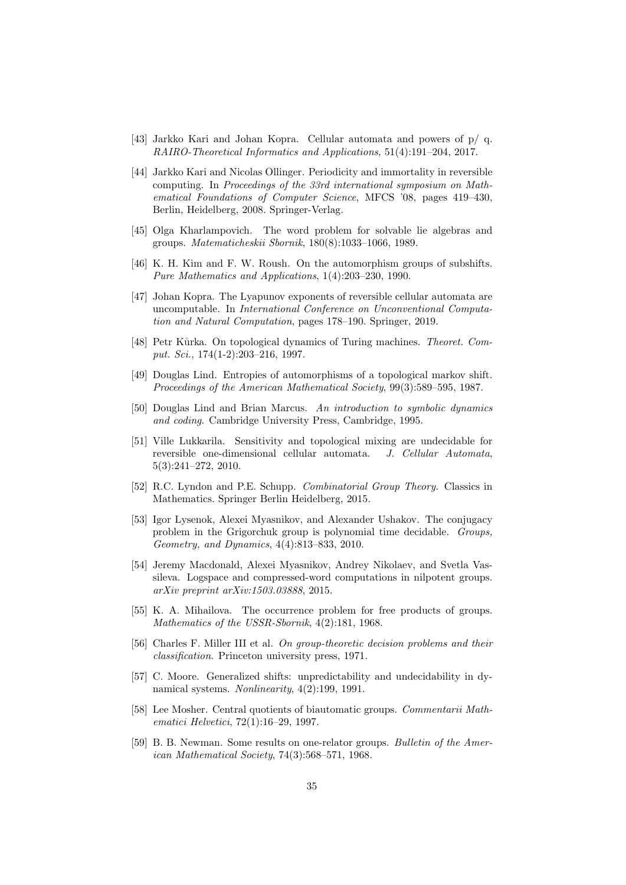- [43] Jarkko Kari and Johan Kopra. Cellular automata and powers of p/ q. RAIRO-Theoretical Informatics and Applications, 51(4):191–204, 2017.
- [44] Jarkko Kari and Nicolas Ollinger. Periodicity and immortality in reversible computing. In Proceedings of the 33rd international symposium on Mathematical Foundations of Computer Science, MFCS '08, pages 419–430, Berlin, Heidelberg, 2008. Springer-Verlag.
- [45] Olga Kharlampovich. The word problem for solvable lie algebras and groups. Matematicheskii Sbornik, 180(8):1033–1066, 1989.
- [46] K. H. Kim and F. W. Roush. On the automorphism groups of subshifts. Pure Mathematics and Applications, 1(4):203–230, 1990.
- [47] Johan Kopra. The Lyapunov exponents of reversible cellular automata are uncomputable. In International Conference on Unconventional Computation and Natural Computation, pages 178–190. Springer, 2019.
- [48] Petr Kůrka. On topological dynamics of Turing machines. Theoret. Comput. Sci., 174(1-2):203–216, 1997.
- [49] Douglas Lind. Entropies of automorphisms of a topological markov shift. Proceedings of the American Mathematical Society, 99(3):589–595, 1987.
- [50] Douglas Lind and Brian Marcus. An introduction to symbolic dynamics and coding. Cambridge University Press, Cambridge, 1995.
- [51] Ville Lukkarila. Sensitivity and topological mixing are undecidable for reversible one-dimensional cellular automata. J. Cellular Automata, 5(3):241–272, 2010.
- [52] R.C. Lyndon and P.E. Schupp. Combinatorial Group Theory. Classics in Mathematics. Springer Berlin Heidelberg, 2015.
- [53] Igor Lysenok, Alexei Myasnikov, and Alexander Ushakov. The conjugacy problem in the Grigorchuk group is polynomial time decidable. Groups, Geometry, and Dynamics, 4(4):813–833, 2010.
- [54] Jeremy Macdonald, Alexei Myasnikov, Andrey Nikolaev, and Svetla Vassileva. Logspace and compressed-word computations in nilpotent groups. arXiv preprint arXiv:1503.03888, 2015.
- [55] K. A. Mihailova. The occurrence problem for free products of groups. Mathematics of the USSR-Sbornik, 4(2):181, 1968.
- [56] Charles F. Miller III et al. On group-theoretic decision problems and their classification. Princeton university press, 1971.
- [57] C. Moore. Generalized shifts: unpredictability and undecidability in dynamical systems. Nonlinearity, 4(2):199, 1991.
- [58] Lee Mosher. Central quotients of biautomatic groups. Commentarii Mathematici Helvetici, 72(1):16–29, 1997.
- [59] B. B. Newman. Some results on one-relator groups. Bulletin of the American Mathematical Society, 74(3):568–571, 1968.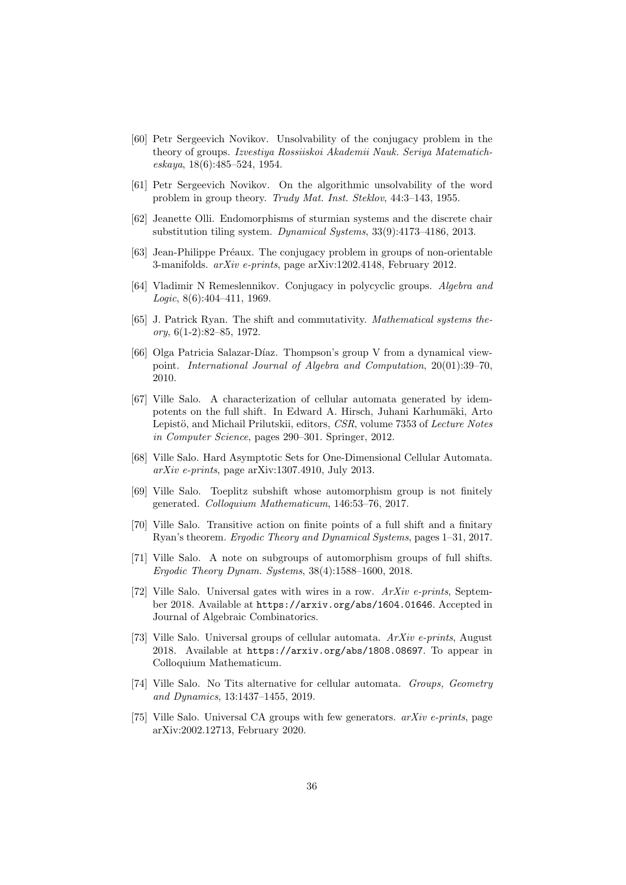- [60] Petr Sergeevich Novikov. Unsolvability of the conjugacy problem in the theory of groups. Izvestiya Rossiiskoi Akademii Nauk. Seriya Matematicheskaya, 18(6):485–524, 1954.
- [61] Petr Sergeevich Novikov. On the algorithmic unsolvability of the word problem in group theory. Trudy Mat. Inst. Steklov, 44:3–143, 1955.
- [62] Jeanette Olli. Endomorphisms of sturmian systems and the discrete chair substitution tiling system. Dynamical Systems, 33(9):4173–4186, 2013.
- [63] Jean-Philippe Préaux. The conjugacy problem in groups of non-orientable 3-manifolds. arXiv e-prints, page arXiv:1202.4148, February 2012.
- [64] Vladimir N Remeslennikov. Conjugacy in polycyclic groups. Algebra and Logic, 8(6):404–411, 1969.
- [65] J. Patrick Ryan. The shift and commutativity. Mathematical systems the $ory, 6(1-2):82-85, 1972.$
- [66] Olga Patricia Salazar-Díaz. Thompson's group V from a dynamical viewpoint. International Journal of Algebra and Computation, 20(01):39–70, 2010.
- [67] Ville Salo. A characterization of cellular automata generated by idempotents on the full shift. In Edward A. Hirsch, Juhani Karhumäki, Arto Lepistö, and Michail Prilutskii, editors, CSR, volume 7353 of Lecture Notes in Computer Science, pages 290–301. Springer, 2012.
- [68] Ville Salo. Hard Asymptotic Sets for One-Dimensional Cellular Automata. arXiv e-prints, page arXiv:1307.4910, July 2013.
- [69] Ville Salo. Toeplitz subshift whose automorphism group is not finitely generated. Colloquium Mathematicum, 146:53–76, 2017.
- [70] Ville Salo. Transitive action on finite points of a full shift and a finitary Ryan's theorem. Ergodic Theory and Dynamical Systems, pages 1–31, 2017.
- [71] Ville Salo. A note on subgroups of automorphism groups of full shifts. Ergodic Theory Dynam. Systems, 38(4):1588–1600, 2018.
- [72] Ville Salo. Universal gates with wires in a row. ArXiv e-prints, September 2018. Available at https://arxiv.org/abs/1604.01646. Accepted in Journal of Algebraic Combinatorics.
- [73] Ville Salo. Universal groups of cellular automata. ArXiv e-prints, August 2018. Available at https://arxiv.org/abs/1808.08697. To appear in Colloquium Mathematicum.
- [74] Ville Salo. No Tits alternative for cellular automata. Groups, Geometry and Dynamics, 13:1437–1455, 2019.
- [75] Ville Salo. Universal CA groups with few generators.  $arXiv$  e-prints, page arXiv:2002.12713, February 2020.